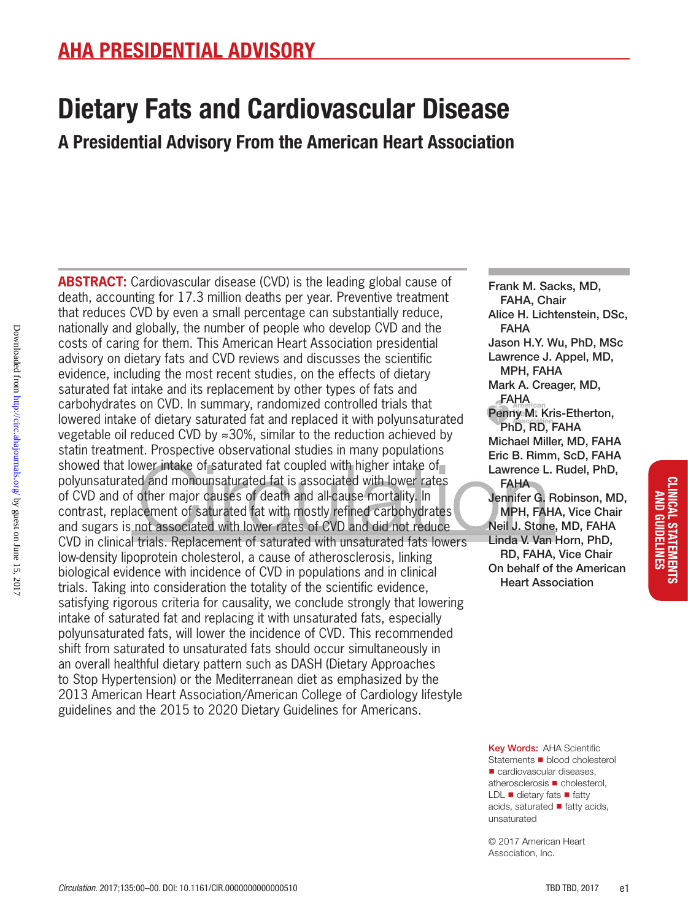# Dietary Fats and Cardiovascular Disease

A Presidential Advisory From the American Heart Association

**ABSTRACT:** Cardiovascular disease (CVD) is the leading global cause of death, accounting for 17.3 million deaths per year. Preventive treatment that reduces CVD by even a small percentage can substantially reduce, nationally and globally, the number of people who develop CVD and the costs of caring for them. This American Heart Association presidential advisory on dietary fats and CVD reviews and discusses the scientific evidence, including the most recent studies, on the effects of dietary saturated fat intake and its replacement by other types of fats and carbohydrates on CVD. In summary, randomized controlled trials that lowered intake of dietary saturated fat and replaced it with polyunsaturated vegetable oil reduced CVD by  $\approx 30\%$ , similar to the reduction achieved by statin treatment. Prospective observational studies in many populations showed that lower intake of saturated fat coupled with higher intake of polyunsaturated and monounsaturated fat is associated with lower rates of CVD and of other major causes of death and all-cause mortality. In contrast, replacement of saturated fat with mostly refined carbohydrates and sugars is not associated with lower rates of CVD and did not reduce CVD in clinical trials. Replacement of saturated with unsaturated fats lowers low-density lipoprotein cholesterol, a cause of atherosclerosis, linking biological evidence with incidence of CVD in populations and in clinical trials. Taking into consideration the totality of the scientific evidence, satisfying rigorous criteria for causality, we conclude strongly that lowering intake of saturated fat and replacing it with unsaturated fats, especially polyunsaturated fats, will lower the incidence of CVD. This recommended shift from saturated to unsaturated fats should occur simultaneously in an overall healthful dietary pattern such as DASH (Dietary Approaches to Stop Hypertension) or the Mediterranean diet as emphasized by the 2013 American Heart Association/American College of Cardiology lifestyle guidelines and the 2015 to 2020 Dietary Guidelines for Americans.

Frank M. Sacks, MD, FAHA, Chair Alice H. Lichtenstein, DSc, FAHA Jason H.Y. Wu, PhD, MSc Lawrence J. Appel, MD, MPH, FAHA Mark A. Creager, MD, FAHA Penny M. Kris-Etherton, PhD, RD, FAHA Michael Miller, MD, FAHA Eric B. Rimm, ScD, FAHA Lawrence L. Rudel, PhD, FAHA Jennifer G. Robinson, MD, MPH, FAHA, Vice Chair

Neil J. Stone, MD, FAHA Linda V. Van Horn, PhD, RD, FAHA, Vice Chair On behalf of the American Heart Association

**Key Words: AHA Scientific** Statements ■ blood cholesterol ■ cardiovascular diseases. atherosclerosis ◼ cholesterol, LDL ◼ dietary fats ◼ fatty acids, saturated ■ fatty acids, unsaturated

© 2017 American Heart Association, Inc.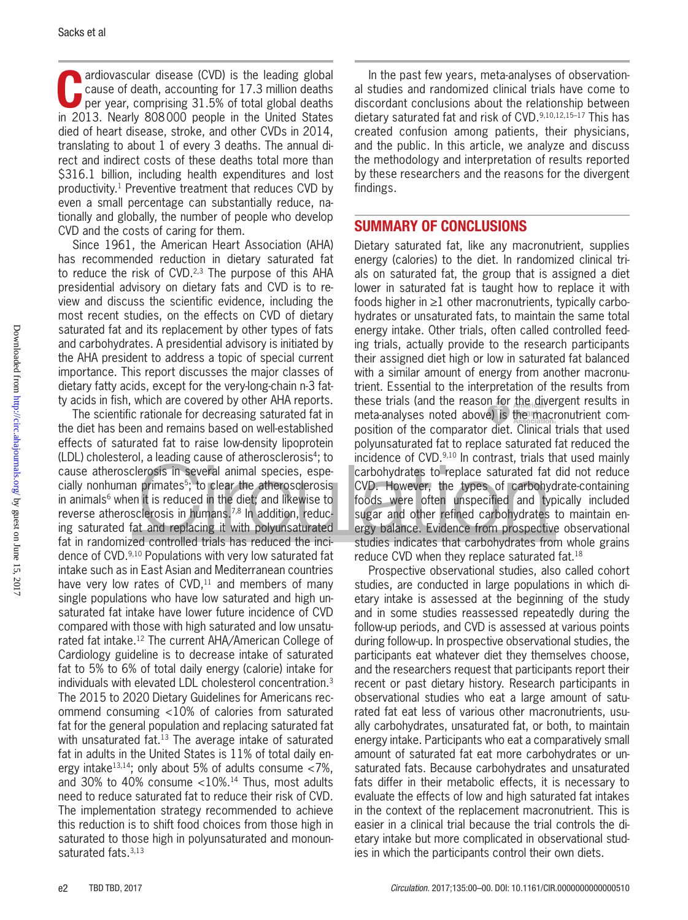ardiovascular disease (CVD) is the leading global cause of death, accounting for 17.3 million deaths per year, comprising 31.5% of total global deaths in 2013. Nearly 808000 people in the United States died of heart disease, stroke, and other CVDs in 2014, translating to about 1 of every 3 deaths. The annual direct and indirect costs of these deaths total more than \$316.1 billion, including health expenditures and lost productivity.1 Preventive treatment that reduces CVD by even a small percentage can substantially reduce, nationally and globally, the number of people who develop CVD and the costs of caring for them.

Since 1961, the American Heart Association (AHA) has recommended reduction in dietary saturated fat to reduce the risk of CVD.<sup>2,3</sup> The purpose of this AHA presidential advisory on dietary fats and CVD is to review and discuss the scientific evidence, including the most recent studies, on the effects on CVD of dietary saturated fat and its replacement by other types of fats and carbohydrates. A presidential advisory is initiated by the AHA president to address a topic of special current importance. This report discusses the major classes of dietary fatty acids, except for the very-long-chain n-3 fatty acids in fish, which are covered by other AHA reports.

The scientific rationale for decreasing saturated fat in the diet has been and remains based on well-established effects of saturated fat to raise low-density lipoprotein (LDL) cholesterol, a leading cause of atherosclerosis4; to cause atherosclerosis in several animal species, especially nonhuman primates<sup>5</sup>; to clear the atherosclerosis in animals $6$  when it is reduced in the diet; and likewise to reverse atherosclerosis in humans.<sup>7,8</sup> In addition, reducing saturated fat and replacing it with polyunsaturated fat in randomized controlled trials has reduced the incidence of CVD.9,10 Populations with very low saturated fat intake such as in East Asian and Mediterranean countries have very low rates of  $CVD$ ,<sup>11</sup> and members of many single populations who have low saturated and high unsaturated fat intake have lower future incidence of CVD compared with those with high saturated and low unsaturated fat intake.12 The current AHA/American College of Cardiology guideline is to decrease intake of saturated fat to 5% to 6% of total daily energy (calorie) intake for individuals with elevated LDL cholesterol concentration.3 The 2015 to 2020 Dietary Guidelines for Americans recommend consuming <10% of calories from saturated fat for the general population and replacing saturated fat with unsaturated fat.<sup>13</sup> The average intake of saturated fat in adults in the United States is 11% of total daily energy intake<sup>13,14</sup>; only about 5% of adults consume  $\langle 7\% \rangle$ . and 30% to 40% consume  $<$  10%.<sup>14</sup> Thus, most adults need to reduce saturated fat to reduce their risk of CVD. The implementation strategy recommended to achieve this reduction is to shift food choices from those high in saturated to those high in polyunsaturated and monounsaturated fats.<sup>3,13</sup>

In the past few years, meta-analyses of observational studies and randomized clinical trials have come to discordant conclusions about the relationship between dietary saturated fat and risk of CVD.9,10,12,15–17 This has created confusion among patients, their physicians, and the public. In this article, we analyze and discuss the methodology and interpretation of results reported by these researchers and the reasons for the divergent findings.

#### SUMMARY OF CONCLUSIONS

Dietary saturated fat, like any macronutrient, supplies energy (calories) to the diet. In randomized clinical trials on saturated fat, the group that is assigned a diet lower in saturated fat is taught how to replace it with foods higher in ≥1 other macronutrients, typically carbohydrates or unsaturated fats, to maintain the same total energy intake. Other trials, often called controlled feeding trials, actually provide to the research participants their assigned diet high or low in saturated fat balanced with a similar amount of energy from another macronutrient. Essential to the interpretation of the results from these trials (and the reason for the divergent results in meta-analyses noted above) is the macronutrient composition of the comparator diet. Clinical trials that used polyunsaturated fat to replace saturated fat reduced the incidence of CVD.9,10 In contrast, trials that used mainly carbohydrates to replace saturated fat did not reduce CVD. However, the types of carbohydrate-containing foods were often unspecified and typically included sugar and other refined carbohydrates to maintain energy balance. Evidence from prospective observational studies indicates that carbohydrates from whole grains reduce CVD when they replace saturated fat.18

Prospective observational studies, also called cohort studies, are conducted in large populations in which dietary intake is assessed at the beginning of the study and in some studies reassessed repeatedly during the follow-up periods, and CVD is assessed at various points during follow-up. In prospective observational studies, the participants eat whatever diet they themselves choose, and the researchers request that participants report their recent or past dietary history. Research participants in observational studies who eat a large amount of saturated fat eat less of various other macronutrients, usually carbohydrates, unsaturated fat, or both, to maintain energy intake. Participants who eat a comparatively small amount of saturated fat eat more carbohydrates or unsaturated fats. Because carbohydrates and unsaturated fats differ in their metabolic effects, it is necessary to evaluate the effects of low and high saturated fat intakes in the context of the replacement macronutrient. This is easier in a clinical trial because the trial controls the dietary intake but more complicated in observational studies in which the participants control their own diets.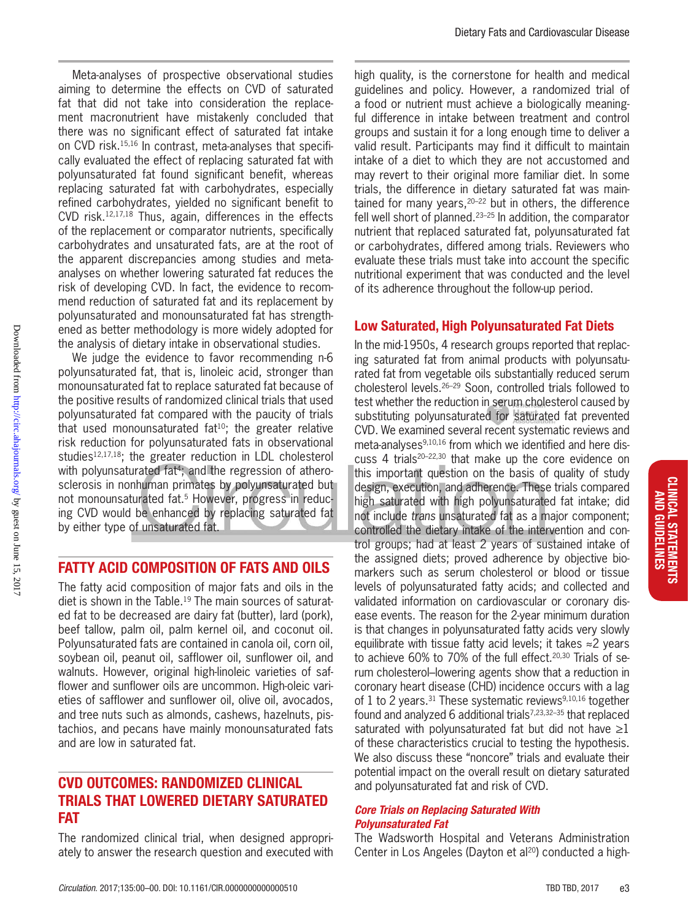Meta-analyses of prospective observational studies aiming to determine the effects on CVD of saturated fat that did not take into consideration the replacement macronutrient have mistakenly concluded that there was no significant effect of saturated fat intake on CVD risk.15,16 In contrast, meta-analyses that specifically evaluated the effect of replacing saturated fat with polyunsaturated fat found significant benefit, whereas replacing saturated fat with carbohydrates, especially refined carbohydrates, yielded no significant benefit to CVD risk.12,17,18 Thus, again, differences in the effects of the replacement or comparator nutrients, specifically carbohydrates and unsaturated fats, are at the root of the apparent discrepancies among studies and metaanalyses on whether lowering saturated fat reduces the risk of developing CVD. In fact, the evidence to recommend reduction of saturated fat and its replacement by polyunsaturated and monounsaturated fat has strength-

the analysis of dietary intake in observational studies. We judge the evidence to favor recommending n-6 polyunsaturated fat, that is, linoleic acid, stronger than monounsaturated fat to replace saturated fat because of the positive results of randomized clinical trials that used polyunsaturated fat compared with the paucity of trials that used monounsaturated fat $10$ ; the greater relative risk reduction for polyunsaturated fats in observational studies<sup>12,17,18</sup>; the greater reduction in LDL cholesterol with polyunsaturated fat<sup>4</sup>; and the regression of atherosclerosis in nonhuman primates by polyunsaturated but not monounsaturated fat.<sup>5</sup> However, progress in reducing CVD would be enhanced by replacing saturated fat by either type of unsaturated fat.

ened as better methodology is more widely adopted for

#### FATTY ACID COMPOSITION OF FATS AND OILS

The fatty acid composition of major fats and oils in the diet is shown in the Table.<sup>19</sup> The main sources of saturated fat to be decreased are dairy fat (butter), lard (pork), beef tallow, palm oil, palm kernel oil, and coconut oil. Polyunsaturated fats are contained in canola oil, corn oil, soybean oil, peanut oil, safflower oil, sunflower oil, and walnuts. However, original high-linoleic varieties of safflower and sunflower oils are uncommon. High-oleic varieties of safflower and sunflower oil, olive oil, avocados, and tree nuts such as almonds, cashews, hazelnuts, pistachios, and pecans have mainly monounsaturated fats and are low in saturated fat.

## CVD OUTCOMES: RANDOMIZED CLINICAL TRIALS THAT LOWERED DIETARY SATURATED FAT

The randomized clinical trial, when designed appropriately to answer the research question and executed with high quality, is the cornerstone for health and medical guidelines and policy. However, a randomized trial of a food or nutrient must achieve a biologically meaningful difference in intake between treatment and control groups and sustain it for a long enough time to deliver a valid result. Participants may find it difficult to maintain intake of a diet to which they are not accustomed and may revert to their original more familiar diet. In some trials, the difference in dietary saturated fat was maintained for many years, $20-22$  but in others, the difference fell well short of planned.<sup>23-25</sup> In addition, the comparator nutrient that replaced saturated fat, polyunsaturated fat or carbohydrates, differed among trials. Reviewers who evaluate these trials must take into account the specific nutritional experiment that was conducted and the level of its adherence throughout the follow-up period.

#### Low Saturated, High Polyunsaturated Fat Diets

In the mid-1950s, 4 research groups reported that replacing saturated fat from animal products with polyunsaturated fat from vegetable oils substantially reduced serum cholesterol levels.26–29 Soon, controlled trials followed to test whether the reduction in serum cholesterol caused by substituting polyunsaturated for saturated fat prevented CVD. We examined several recent systematic reviews and meta-analyses<sup>9,10,16</sup> from which we identified and here discuss 4 trials<sup>20-22,30</sup> that make up the core evidence on this important question on the basis of quality of study design, execution, and adherence. These trials compared high saturated with high polyunsaturated fat intake; did not include *trans* unsaturated fat as a major component; controlled the dietary intake of the intervention and control groups; had at least 2 years of sustained intake of the assigned diets; proved adherence by objective biomarkers such as serum cholesterol or blood or tissue levels of polyunsaturated fatty acids; and collected and validated information on cardiovascular or coronary disease events. The reason for the 2-year minimum duration is that changes in polyunsaturated fatty acids very slowly equilibrate with tissue fatty acid levels; it takes ≈2 years to achieve 60% to 70% of the full effect.<sup>20,30</sup> Trials of serum cholesterol–lowering agents show that a reduction in coronary heart disease (CHD) incidence occurs with a lag of 1 to 2 years.<sup>31</sup> These systematic reviews<sup>9,10,16</sup> together found and analyzed 6 additional trials<sup>7,23,32–35</sup> that replaced saturated with polyunsaturated fat but did not have  $\geq 1$ of these characteristics crucial to testing the hypothesis. We also discuss these "noncore" trials and evaluate their potential impact on the overall result on dietary saturated and polyunsaturated fat and risk of CVD.

#### *Core Trials on Replacing Saturated With Polyunsaturated Fat*

The Wadsworth Hospital and Veterans Administration Center in Los Angeles (Dayton et al<sup>20</sup>) conducted a high-

CLINICAL STATEMENTS AND GUIDELINES

**CLINICAL STATEMENTS**<br>And Guidelines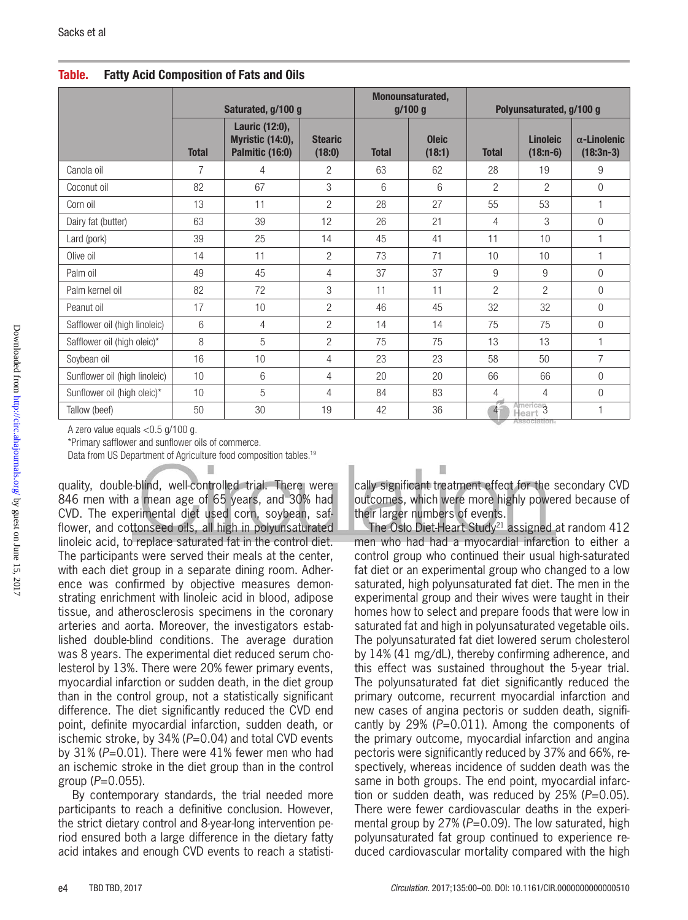|                               |                | Saturated, g/100 g                                           | Monounsaturated,<br>g/100 g |              | Polyunsaturated, g/100 g |                |                                                               |                                    |
|-------------------------------|----------------|--------------------------------------------------------------|-----------------------------|--------------|--------------------------|----------------|---------------------------------------------------------------|------------------------------------|
|                               | <b>Total</b>   | Lauric (12:0),<br><b>Myristic (14:0),</b><br>Palmitic (16:0) | <b>Stearic</b><br>(18:0)    | <b>Total</b> | <b>Oleic</b><br>(18:1)   | <b>Total</b>   | <b>Linoleic</b><br>$(18: n-6)$                                | $\alpha$ -Linolenic<br>$(18:3n-3)$ |
| Canola oil                    | $\overline{7}$ | 4                                                            | $\overline{2}$              | 63           | 62                       | 28             | 19                                                            | 9                                  |
| Coconut oil                   | 82             | 67                                                           | 3                           | 6            | 6                        | $\overline{2}$ | 2                                                             | $\overline{0}$                     |
| Corn oil                      | 13             | 11                                                           | $\overline{2}$              | 28           | 27                       | 55             | 53                                                            | 1                                  |
| Dairy fat (butter)            | 63             | 39                                                           | 12                          | 26           | 21                       | 4              | 3                                                             | $\Omega$                           |
| Lard (pork)                   | 39             | 25                                                           | 14                          | 45           | 41                       | 11             | 10                                                            | 1                                  |
| Olive oil                     | 14             | 11                                                           | $\overline{2}$              | 73           | 71                       | 10             | 10                                                            | 1                                  |
| Palm oil                      | 49             | 45                                                           | 4                           | 37           | 37                       | 9              | 9                                                             | 0                                  |
| Palm kernel oil               | 82             | 72                                                           | 3                           | 11           | 11                       | $\overline{2}$ | $\overline{2}$                                                | 0                                  |
| Peanut oil                    | 17             | 10                                                           | $\overline{2}$              | 46           | 45                       | 32             | 32                                                            | $\overline{0}$                     |
| Safflower oil (high linoleic) | 6              | $\overline{4}$                                               | $\overline{2}$              | 14           | 14                       | 75             | 75                                                            | $\overline{0}$                     |
| Safflower oil (high oleic)*   | 8              | 5                                                            | $\overline{2}$              | 75           | 75                       | 13             | 13                                                            | 1                                  |
| Soybean oil                   | 16             | 10                                                           | 4                           | 23           | 23                       | 58             | 50                                                            | 7                                  |
| Sunflower oil (high linoleic) | 10             | 6                                                            | 4                           | 20           | 20                       | 66             | 66                                                            | $\Omega$                           |
| Sunflower oil (high oleic)*   | 10             | 5                                                            | 4                           | 84           | 83                       | 4              | 4                                                             | $\Omega$                           |
| Tallow (beef)                 | 50             | 30                                                           | 19                          | 42           | 36                       | 4 <sup>1</sup> | $\overbrace{ }$ American <sub>3</sub><br>eart<br>Association. | 1                                  |

Table. Fatty Acid Composition of Fats and Oils

A zero value equals <0.5 g/100 g.

\*Primary safflower and sunflower oils of commerce.

Data from US Department of Agriculture food composition tables.<sup>19</sup>

quality, double-blind, well-controlled trial. There were 846 men with a mean age of 65 years, and 30% had CVD. The experimental diet used corn, soybean, safflower, and cottonseed oils, all high in polyunsaturated linoleic acid, to replace saturated fat in the control diet. The participants were served their meals at the center, with each diet group in a separate dining room. Adherence was confirmed by objective measures demonstrating enrichment with linoleic acid in blood, adipose tissue, and atherosclerosis specimens in the coronary arteries and aorta. Moreover, the investigators established double-blind conditions. The average duration was 8 years. The experimental diet reduced serum cholesterol by 13%. There were 20% fewer primary events, myocardial infarction or sudden death, in the diet group than in the control group, not a statistically significant difference. The diet significantly reduced the CVD end point, definite myocardial infarction, sudden death, or ischemic stroke, by 34% (*P*=0.04) and total CVD events by 31% (*P*=0.01). There were 41% fewer men who had an ischemic stroke in the diet group than in the control group (*P*=0.055).

By contemporary standards, the trial needed more participants to reach a definitive conclusion. However, the strict dietary control and 8-year-long intervention period ensured both a large difference in the dietary fatty acid intakes and enough CVD events to reach a statistically significant treatment effect for the secondary CVD outcomes, which were more highly powered because of their larger numbers of events.

The Oslo Diet-Heart Study<sup>21</sup> assigned at random 412 men who had had a myocardial infarction to either a control group who continued their usual high-saturated fat diet or an experimental group who changed to a low saturated, high polyunsaturated fat diet. The men in the experimental group and their wives were taught in their homes how to select and prepare foods that were low in saturated fat and high in polyunsaturated vegetable oils. The polyunsaturated fat diet lowered serum cholesterol by 14% (41 mg/dL), thereby confirming adherence, and this effect was sustained throughout the 5-year trial. The polyunsaturated fat diet significantly reduced the primary outcome, recurrent myocardial infarction and new cases of angina pectoris or sudden death, significantly by 29% (*P*=0.011). Among the components of the primary outcome, myocardial infarction and angina pectoris were significantly reduced by 37% and 66%, respectively, whereas incidence of sudden death was the same in both groups. The end point, myocardial infarction or sudden death, was reduced by 25% (P=0.05). There were fewer cardiovascular deaths in the experimental group by 27% (P=0.09). The low saturated, high polyunsaturated fat group continued to experience reduced cardiovascular mortality compared with the high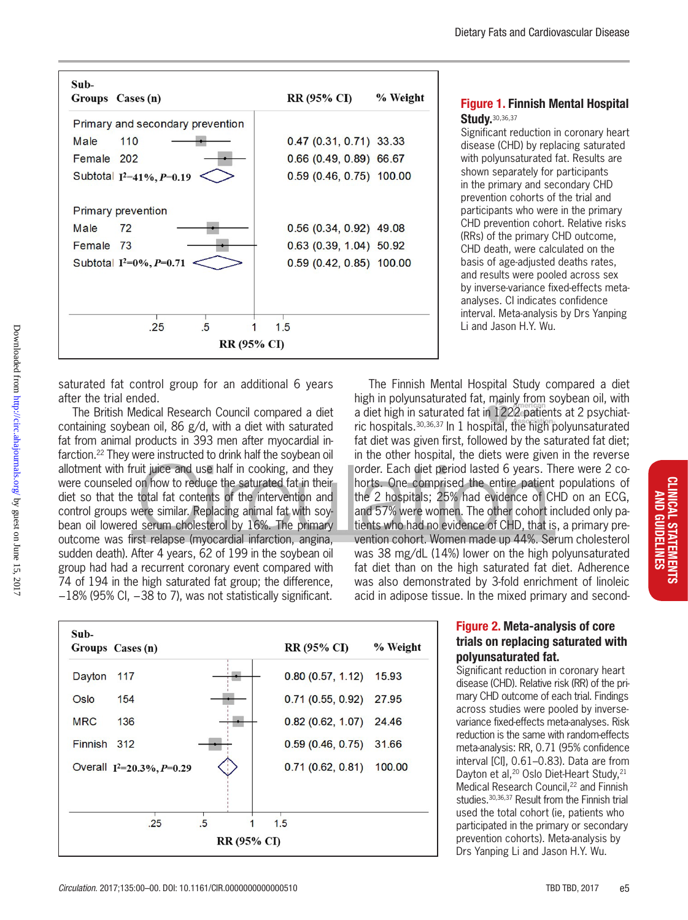

saturated fat control group for an additional 6 years after the trial ended.

The British Medical Research Council compared a diet containing soybean oil, 86 g/d, with a diet with saturated fat from animal products in 393 men after myocardial infarction.<sup>22</sup> They were instructed to drink half the soybean oil allotment with fruit juice and use half in cooking, and they were counseled on how to reduce the saturated fat in their diet so that the total fat contents of the intervention and control groups were similar. Replacing animal fat with soybean oil lowered serum cholesterol by 16%. The primary outcome was first relapse (myocardial infarction, angina, sudden death). After 4 years, 62 of 199 in the soybean oil group had had a recurrent coronary event compared with 74 of 194 in the high saturated fat group; the difference, −18% (95% CI, −38 to 7), was not statistically significant.



## Figure 1. Finnish Mental Hospital Study. 30, 36, 37

Significant reduction in coronary heart disease (CHD) by replacing saturated with polyunsaturated fat. Results are shown separately for participants in the primary and secondary CHD prevention cohorts of the trial and participants who were in the primary CHD prevention cohort. Relative risks (RRs) of the primary CHD outcome, CHD death, were calculated on the basis of age-adjusted deaths rates, and results were pooled across sex by inverse-variance fixed-effects metaanalyses. CI indicates confidence interval. Meta-analysis by Drs Yanping Li and Jason H.Y. Wu.

The Finnish Mental Hospital Study compared a diet high in polyunsaturated fat, mainly from soybean oil, with a diet high in saturated fat in 1222 patients at 2 psychiatric hospitals.30,36,37 In 1 hospital, the high polyunsaturated fat diet was given first, followed by the saturated fat diet; in the other hospital, the diets were given in the reverse order. Each diet period lasted 6 years. There were 2 cohorts. One comprised the entire patient populations of the 2 hospitals; 25% had evidence of CHD on an ECG, and 57% were women. The other cohort included only patients who had no evidence of CHD, that is, a primary prevention cohort. Women made up 44%. Serum cholesterol was 38 mg/dL (14%) lower on the high polyunsaturated fat diet than on the high saturated fat diet. Adherence was also demonstrated by 3-fold enrichment of linoleic acid in adipose tissue. In the mixed primary and second-

### Figure 2. Meta-analysis of core trials on replacing saturated with polyunsaturated fat.

Significant reduction in coronary heart disease (CHD). Relative risk (RR) of the primary CHD outcome of each trial. Findings across studies were pooled by inversevariance fixed-effects meta-analyses. Risk reduction is the same with random-effects meta-analysis: RR, 0.71 (95% confidence interval [CI], 0.61–0.83). Data are from Dayton et al,<sup>20</sup> Oslo Diet-Heart Study,<sup>21</sup> Medical Research Council,<sup>22</sup> and Finnish studies.30,36,37 Result from the Finnish trial used the total cohort (ie, patients who participated in the primary or secondary prevention cohorts). Meta-analysis by Drs Yanping Li and Jason H.Y. Wu.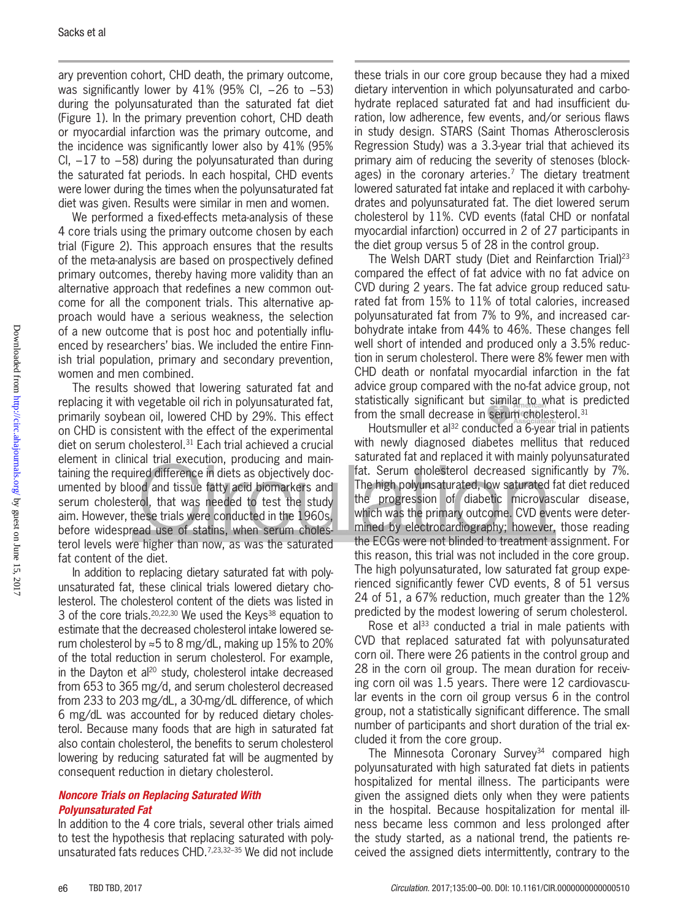ary prevention cohort, CHD death, the primary outcome, was significantly lower by 41% (95% CI, -26 to -53) during the polyunsaturated than the saturated fat diet (Figure 1). In the primary prevention cohort, CHD death or myocardial infarction was the primary outcome, and the incidence was significantly lower also by 41% (95% CI, −17 to −58) during the polyunsaturated than during the saturated fat periods. In each hospital, CHD events were lower during the times when the polyunsaturated fat diet was given. Results were similar in men and women.

We performed a fixed-effects meta-analysis of these 4 core trials using the primary outcome chosen by each trial (Figure 2). This approach ensures that the results of the meta-analysis are based on prospectively defined primary outcomes, thereby having more validity than an alternative approach that redefines a new common outcome for all the component trials. This alternative approach would have a serious weakness, the selection of a new outcome that is post hoc and potentially influenced by researchers' bias. We included the entire Finnish trial population, primary and secondary prevention, women and men combined.

The results showed that lowering saturated fat and replacing it with vegetable oil rich in polyunsaturated fat, primarily soybean oil, lowered CHD by 29%. This effect on CHD is consistent with the effect of the experimental diet on serum cholesterol.<sup>31</sup> Each trial achieved a crucial element in clinical trial execution, producing and maintaining the required difference in diets as objectively documented by blood and tissue fatty acid biomarkers and serum cholesterol, that was needed to test the study aim. However, these trials were conducted in the 1960s, before widespread use of statins, when serum cholesterol levels were higher than now, as was the saturated fat content of the diet.

In addition to replacing dietary saturated fat with polyunsaturated fat, these clinical trials lowered dietary cholesterol. The cholesterol content of the diets was listed in 3 of the core trials.  $20,22,30$  We used the Keys<sup>38</sup> equation to estimate that the decreased cholesterol intake lowered serum cholesterol by  $\approx$  5 to 8 mg/dL, making up 15% to 20% of the total reduction in serum cholesterol. For example, in the Dayton et al<sup>20</sup> study, cholesterol intake decreased from 653 to 365 mg/d, and serum cholesterol decreased from 233 to 203 mg/dL, a 30-mg/dL difference, of which 6 mg/dL was accounted for by reduced dietary cholesterol. Because many foods that are high in saturated fat also contain cholesterol, the benefits to serum cholesterol lowering by reducing saturated fat will be augmented by consequent reduction in dietary cholesterol.

#### *Noncore Trials on Replacing Saturated With Polyunsaturated Fat*

In addition to the 4 core trials, several other trials aimed to test the hypothesis that replacing saturated with polyunsaturated fats reduces CHD.7,23,32–35 We did not include

these trials in our core group because they had a mixed dietary intervention in which polyunsaturated and carbohydrate replaced saturated fat and had insufficient duration, low adherence, few events, and/or serious flaws in study design. STARS (Saint Thomas Atherosclerosis Regression Study) was a 3.3-year trial that achieved its primary aim of reducing the severity of stenoses (blockages) in the coronary arteries.<sup>7</sup> The dietary treatment lowered saturated fat intake and replaced it with carbohydrates and polyunsaturated fat. The diet lowered serum cholesterol by 11%. CVD events (fatal CHD or nonfatal myocardial infarction) occurred in 2 of 27 participants in the diet group versus 5 of 28 in the control group.

The Welsh DART study (Diet and Reinfarction Trial)<sup>23</sup> compared the effect of fat advice with no fat advice on CVD during 2 years. The fat advice group reduced saturated fat from 15% to 11% of total calories, increased polyunsaturated fat from 7% to 9%, and increased carbohydrate intake from 44% to 46%. These changes fell well short of intended and produced only a 3.5% reduction in serum cholesterol. There were 8% fewer men with CHD death or nonfatal myocardial infarction in the fat advice group compared with the no-fat advice group, not statistically significant but similar to what is predicted from the small decrease in serum cholesterol.<sup>31</sup>

Houtsmuller et al<sup>32</sup> conducted a 6-year trial in patients with newly diagnosed diabetes mellitus that reduced saturated fat and replaced it with mainly polyunsaturated fat. Serum cholesterol decreased significantly by 7%. The high polyunsaturated, low saturated fat diet reduced the progression of diabetic microvascular disease, which was the primary outcome. CVD events were determined by electrocardiography; however, those reading the ECGs were not blinded to treatment assignment. For this reason, this trial was not included in the core group. The high polyunsaturated, low saturated fat group experienced significantly fewer CVD events, 8 of 51 versus 24 of 51, a 67% reduction, much greater than the 12% predicted by the modest lowering of serum cholesterol.

Rose et al<sup>33</sup> conducted a trial in male patients with CVD that replaced saturated fat with polyunsaturated corn oil. There were 26 patients in the control group and 28 in the corn oil group. The mean duration for receiving corn oil was 1.5 years. There were 12 cardiovascular events in the corn oil group versus 6 in the control group, not a statistically significant difference. The small number of participants and short duration of the trial excluded it from the core group.

The Minnesota Coronary Survey<sup>34</sup> compared high polyunsaturated with high saturated fat diets in patients hospitalized for mental illness. The participants were given the assigned diets only when they were patients in the hospital. Because hospitalization for mental illness became less common and less prolonged after the study started, as a national trend, the patients received the assigned diets intermittently, contrary to the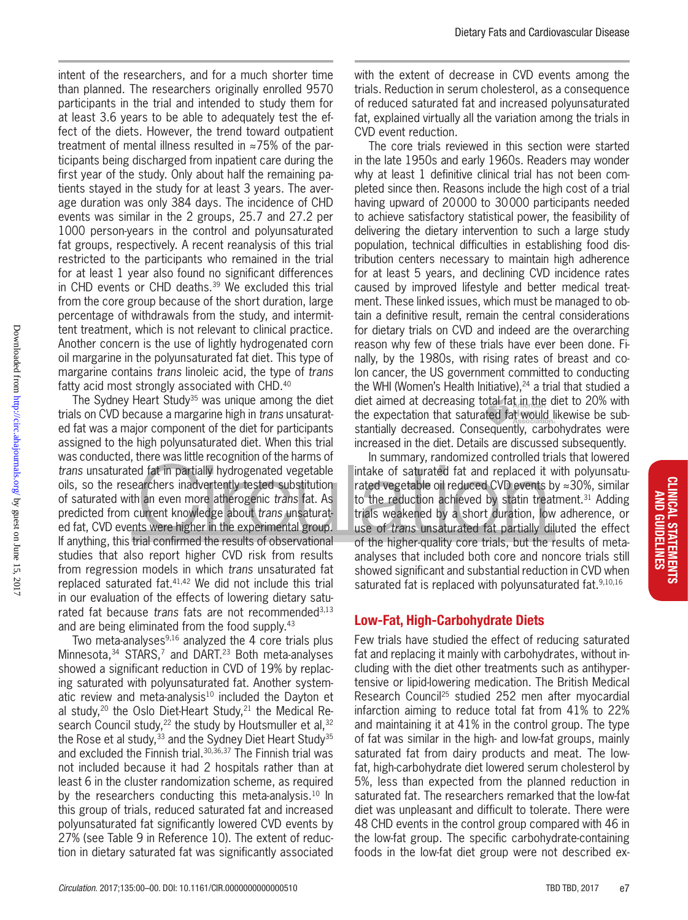intent of the researchers, and for a much shorter time than planned. The researchers originally enrolled 9570 participants in the trial and intended to study them for at least 3.6 years to be able to adequately test the effect of the diets. However, the trend toward outpatient treatment of mental illness resulted in ≈75% of the participants being discharged from inpatient care during the first year of the study. Only about half the remaining patients stayed in the study for at least 3 years. The average duration was only 384 days. The incidence of CHD events was similar in the 2 groups, 25.7 and 27.2 per 1000 person-years in the control and polyunsaturated fat groups, respectively. A recent reanalysis of this trial restricted to the participants who remained in the trial for at least 1 year also found no significant differences in CHD events or CHD deaths.<sup>39</sup> We excluded this trial from the core group because of the short duration, large percentage of withdrawals from the study, and intermittent treatment, which is not relevant to clinical practice. Another concern is the use of lightly hydrogenated corn oil margarine in the polyunsaturated fat diet. This type of margarine contains *trans* linoleic acid, the type of *trans* fatty acid most strongly associated with CHD.<sup>40</sup>

The Sydney Heart Study<sup>35</sup> was unique among the diet trials on CVD because a margarine high in *trans* unsaturated fat was a major component of the diet for participants assigned to the high polyunsaturated diet. When this trial was conducted, there was little recognition of the harms of *trans* unsaturated fat in partially hydrogenated vegetable oils, so the researchers inadvertently tested substitution of saturated with an even more atherogenic *trans* fat. As predicted from current knowledge about *trans* unsaturated fat, CVD events were higher in the experimental group. If anything, this trial confirmed the results of observational studies that also report higher CVD risk from results from regression models in which *trans* unsaturated fat replaced saturated fat.41,42 We did not include this trial in our evaluation of the effects of lowering dietary saturated fat because *trans* fats are not recommended<sup>3,13</sup> and are being eliminated from the food supply.<sup>43</sup>

Two meta-analyses<sup>9,16</sup> analyzed the 4 core trials plus Minnesota,<sup>34</sup> STARS,<sup>7</sup> and DART.<sup>23</sup> Both meta-analyses showed a significant reduction in CVD of 19% by replacing saturated with polyunsaturated fat. Another systematic review and meta-analysis<sup>10</sup> included the Dayton et al study,<sup>20</sup> the Oslo Diet-Heart Study,<sup>21</sup> the Medical Research Council study,<sup>22</sup> the study by Houtsmuller et al,<sup>32</sup> the Rose et al study,<sup>33</sup> and the Sydney Diet Heart Study<sup>35</sup> and excluded the Finnish trial.<sup>30,36,37</sup> The Finnish trial was not included because it had 2 hospitals rather than at least 6 in the cluster randomization scheme, as required by the researchers conducting this meta-analysis.<sup>10</sup> In this group of trials, reduced saturated fat and increased polyunsaturated fat significantly lowered CVD events by 27% (see Table 9 in Reference 10). The extent of reduction in dietary saturated fat was significantly associated

with the extent of decrease in CVD events among the trials. Reduction in serum cholesterol, as a consequence of reduced saturated fat and increased polyunsaturated fat, explained virtually all the variation among the trials in CVD event reduction.

The core trials reviewed in this section were started in the late 1950s and early 1960s. Readers may wonder why at least 1 definitive clinical trial has not been completed since then. Reasons include the high cost of a trial having upward of 20000 to 30000 participants needed to achieve satisfactory statistical power, the feasibility of delivering the dietary intervention to such a large study population, technical difficulties in establishing food distribution centers necessary to maintain high adherence for at least 5 years, and declining CVD incidence rates caused by improved lifestyle and better medical treatment. These linked issues, which must be managed to obtain a definitive result, remain the central considerations for dietary trials on CVD and indeed are the overarching reason why few of these trials have ever been done. Finally, by the 1980s, with rising rates of breast and colon cancer, the US government committed to conducting the WHI (Women's Health Initiative),<sup>24</sup> a trial that studied a diet aimed at decreasing total fat in the diet to 20% with the expectation that saturated fat would likewise be substantially decreased. Consequently, carbohydrates were increased in the diet. Details are discussed subsequently.

In summary, randomized controlled trials that lowered intake of saturated fat and replaced it with polyunsaturated vegetable oil reduced CVD events by ≈30%, similar to the reduction achieved by statin treatment.<sup>31</sup> Adding trials weakened by a short duration, low adherence, or use of *trans* unsaturated fat partially diluted the effect of the higher-quality core trials, but the results of metaanalyses that included both core and noncore trials still showed significant and substantial reduction in CVD when saturated fat is replaced with polyunsaturated fat. 9,10,16

#### Low-Fat, High-Carbohydrate Diets

Few trials have studied the effect of reducing saturated fat and replacing it mainly with carbohydrates, without including with the diet other treatments such as antihypertensive or lipid-lowering medication. The British Medical Research Council25 studied 252 men after myocardial infarction aiming to reduce total fat from 41% to 22% and maintaining it at 41% in the control group. The type of fat was similar in the high- and low-fat groups, mainly saturated fat from dairy products and meat. The lowfat, high-carbohydrate diet lowered serum cholesterol by 5%, less than expected from the planned reduction in saturated fat. The researchers remarked that the low-fat diet was unpleasant and difficult to tolerate. There were 48 CHD events in the control group compared with 46 in the low-fat group. The specific carbohydrate-containing foods in the low-fat diet group were not described ex-

CLINICAL STATEMENTS AND GUIDELINES

CLINICAL STATEMENTS<br>And Guidelines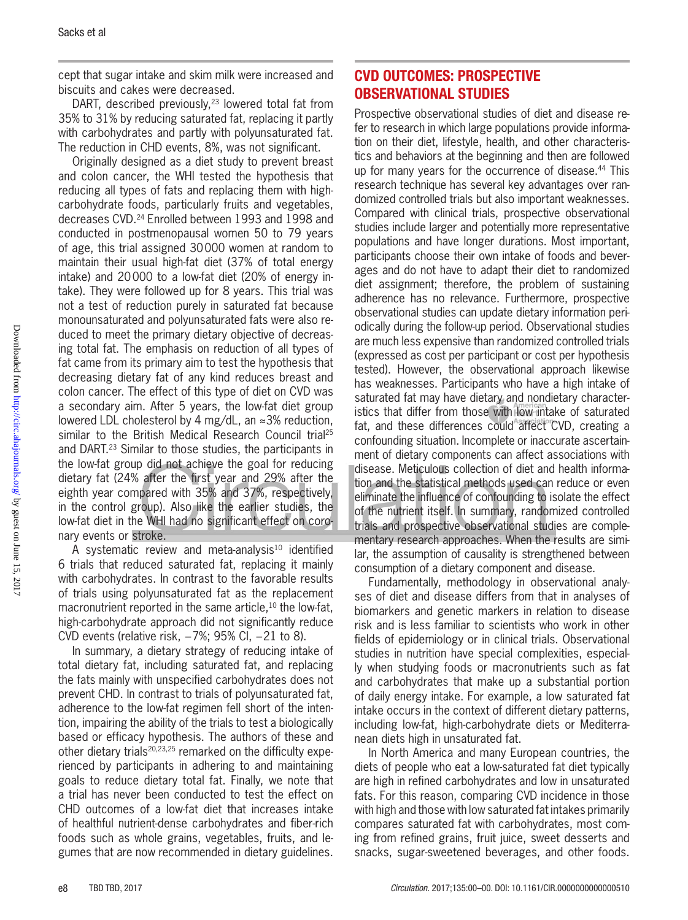cept that sugar intake and skim milk were increased and biscuits and cakes were decreased.

DART, described previously, $23$  lowered total fat from 35% to 31% by reducing saturated fat, replacing it partly with carbohydrates and partly with polyunsaturated fat. The reduction in CHD events, 8%, was not significant.

Originally designed as a diet study to prevent breast and colon cancer, the WHI tested the hypothesis that reducing all types of fats and replacing them with highcarbohydrate foods, particularly fruits and vegetables, decreases CVD.24 Enrolled between 1993 and 1998 and conducted in postmenopausal women 50 to 79 years of age, this trial assigned 30000 women at random to maintain their usual high-fat diet (37% of total energy intake) and 20000 to a low-fat diet (20% of energy intake). They were followed up for 8 years. This trial was not a test of reduction purely in saturated fat because monounsaturated and polyunsaturated fats were also reduced to meet the primary dietary objective of decreasing total fat. The emphasis on reduction of all types of fat came from its primary aim to test the hypothesis that decreasing dietary fat of any kind reduces breast and colon cancer. The effect of this type of diet on CVD was a secondary aim. After 5 years, the low-fat diet group lowered LDL cholesterol by 4 mg/dL, an ≈3% reduction, similar to the British Medical Research Council trial<sup>25</sup> and DART.23 Similar to those studies, the participants in the low-fat group did not achieve the goal for reducing dietary fat (24% after the first year and 29% after the eighth year compared with 35% and 37%, respectively, in the control group). Also like the earlier studies, the low-fat diet in the WHI had no significant effect on coronary events or stroke.

A systematic review and meta-analysis $10$  identified 6 trials that reduced saturated fat, replacing it mainly with carbohydrates. In contrast to the favorable results of trials using polyunsaturated fat as the replacement macronutrient reported in the same article,<sup>10</sup> the low-fat, high-carbohydrate approach did not significantly reduce CVD events (relative risk, −7%; 95% CI, −21 to 8).

In summary, a dietary strategy of reducing intake of total dietary fat, including saturated fat, and replacing the fats mainly with unspecified carbohydrates does not prevent CHD. In contrast to trials of polyunsaturated fat, adherence to the low-fat regimen fell short of the intention, impairing the ability of the trials to test a biologically based or efficacy hypothesis. The authors of these and other dietary trials<sup>20,23,25</sup> remarked on the difficulty experienced by participants in adhering to and maintaining goals to reduce dietary total fat. Finally, we note that a trial has never been conducted to test the effect on CHD outcomes of a low-fat diet that increases intake of healthful nutrient-dense carbohydrates and fiber-rich foods such as whole grains, vegetables, fruits, and legumes that are now recommended in dietary guidelines.

# CVD OUTCOMES: PROSPECTIVE OBSERVATIONAL STUDIES

Prospective observational studies of diet and disease refer to research in which large populations provide information on their diet, lifestyle, health, and other characteristics and behaviors at the beginning and then are followed up for many years for the occurrence of disease.<sup>44</sup> This research technique has several key advantages over randomized controlled trials but also important weaknesses. Compared with clinical trials, prospective observational studies include larger and potentially more representative populations and have longer durations. Most important, participants choose their own intake of foods and beverages and do not have to adapt their diet to randomized diet assignment; therefore, the problem of sustaining adherence has no relevance. Furthermore, prospective observational studies can update dietary information periodically during the follow-up period. Observational studies are much less expensive than randomized controlled trials (expressed as cost per participant or cost per hypothesis tested). However, the observational approach likewise has weaknesses. Participants who have a high intake of saturated fat may have dietary and nondietary characteristics that differ from those with low intake of saturated fat, and these differences could affect CVD, creating a confounding situation. Incomplete or inaccurate ascertainment of dietary components can affect associations with disease. Meticulous collection of diet and health information and the statistical methods used can reduce or even eliminate the influence of confounding to isolate the effect of the nutrient itself. In summary, randomized controlled trials and prospective observational studies are complementary research approaches. When the results are similar, the assumption of causality is strengthened between consumption of a dietary component and disease.

Fundamentally, methodology in observational analyses of diet and disease differs from that in analyses of biomarkers and genetic markers in relation to disease risk and is less familiar to scientists who work in other fields of epidemiology or in clinical trials. Observational studies in nutrition have special complexities, especially when studying foods or macronutrients such as fat and carbohydrates that make up a substantial portion of daily energy intake. For example, a low saturated fat intake occurs in the context of different dietary patterns, including low-fat, high-carbohydrate diets or Mediterranean diets high in unsaturated fat.

In North America and many European countries, the diets of people who eat a low-saturated fat diet typically are high in refined carbohydrates and low in unsaturated fats. For this reason, comparing CVD incidence in those with high and those with low saturated fat intakes primarily compares saturated fat with carbohydrates, most coming from refined grains, fruit juice, sweet desserts and snacks, sugar-sweetened beverages, and other foods.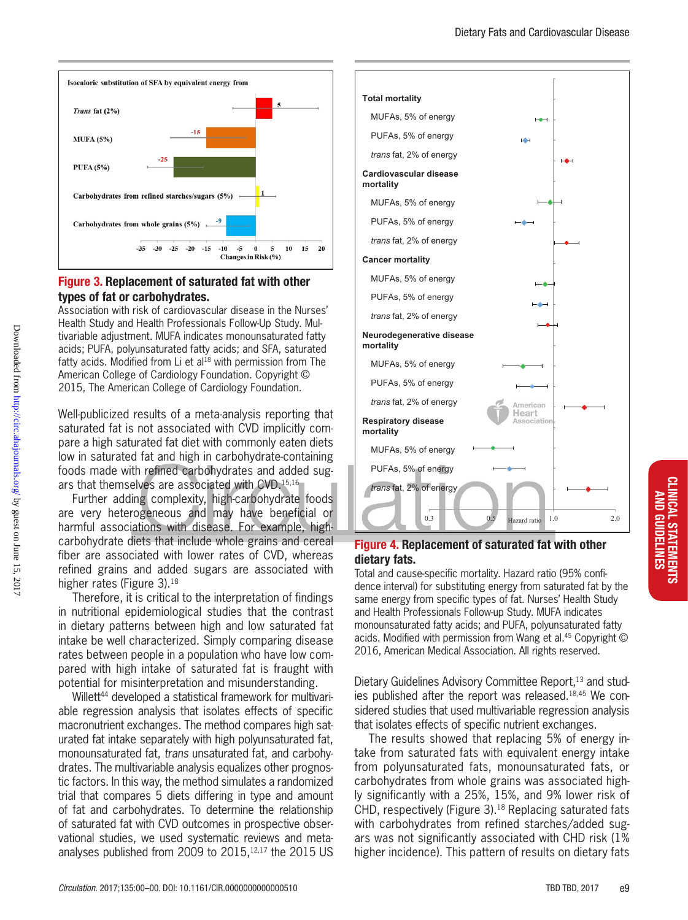

### Figure 3. Replacement of saturated fat with other types of fat or carbohydrates.

Association with risk of cardiovascular disease in the Nurses' Health Study and Health Professionals Follow-Up Study. Multivariable adjustment. MUFA indicates monounsaturated fatty acids; PUFA, polyunsaturated fatty acids; and SFA, saturated fatty acids. Modified from Li et al<sup>18</sup> with permission from The American College of Cardiology Foundation. Copyright © 2015, The American College of Cardiology Foundation.

Well-publicized results of a meta-analysis reporting that saturated fat is not associated with CVD implicitly compare a high saturated fat diet with commonly eaten diets low in saturated fat and high in carbohydrate-containing foods made with refined carbohydrates and added sugars that themselves are associated with CVD.15,16

Further adding complexity, high-carbohydrate foods are very heterogeneous and may have beneficial or harmful associations with disease. For example, highcarbohydrate diets that include whole grains and cereal fiber are associated with lower rates of CVD, whereas refined grains and added sugars are associated with higher rates (Figure 3).<sup>18</sup>

Therefore, it is critical to the interpretation of findings in nutritional epidemiological studies that the contrast in dietary patterns between high and low saturated fat intake be well characterized. Simply comparing disease rates between people in a population who have low compared with high intake of saturated fat is fraught with potential for misinterpretation and misunderstanding.

Willett<sup>44</sup> developed a statistical framework for multivariable regression analysis that isolates effects of specific macronutrient exchanges. The method compares high saturated fat intake separately with high polyunsaturated fat, monounsaturated fat, *trans* unsaturated fat, and carbohydrates. The multivariable analysis equalizes other prognostic factors. In this way, the method simulates a randomized trial that compares 5 diets differing in type and amount of fat and carbohydrates. To determine the relationship of saturated fat with CVD outcomes in prospective observational studies, we used systematic reviews and metaanalyses published from 2009 to  $2015$ ,<sup>12,17</sup> the  $2015$  US



#### Figure 4. Replacement of saturated fat with other dietary fats.

Total and cause-specific mortality. Hazard ratio (95% confidence interval) for substituting energy from saturated fat by the same energy from specific types of fat. Nurses' Health Study and Health Professionals Follow-up Study. MUFA indicates monounsaturated fatty acids; and PUFA, polyunsaturated fatty acids. Modified with permission from Wang et al.<sup>45</sup> Copyright © 2016, American Medical Association. All rights reserved.

Dietary Guidelines Advisory Committee Report,<sup>13</sup> and studies published after the report was released.18,45 We considered studies that used multivariable regression analysis that isolates effects of specific nutrient exchanges.

The results showed that replacing 5% of energy intake from saturated fats with equivalent energy intake from polyunsaturated fats, monounsaturated fats, or carbohydrates from whole grains was associated highly significantly with a 25%, 15%, and 9% lower risk of CHD, respectively (Figure 3).<sup>18</sup> Replacing saturated fats with carbohydrates from refined starches/added sugars was not significantly associated with CHD risk (1% higher incidence). This pattern of results on dietary fats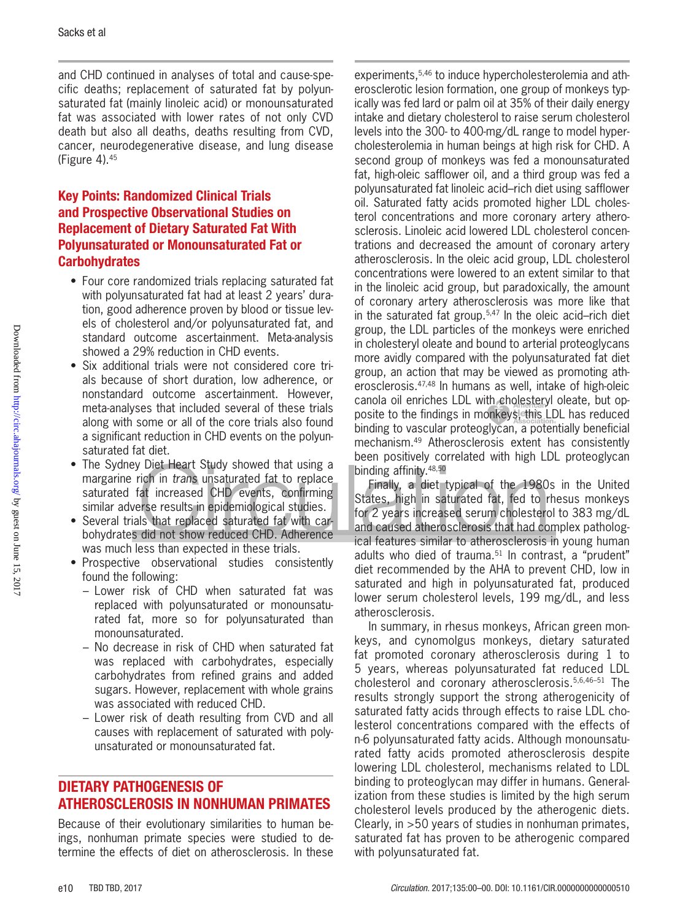and CHD continued in analyses of total and cause-specific deaths; replacement of saturated fat by polyunsaturated fat (mainly linoleic acid) or monounsaturated fat was associated with lower rates of not only CVD death but also all deaths, deaths resulting from CVD, cancer, neurodegenerative disease, and lung disease (Figure 4).45

## Key Points: Randomized Clinical Trials and Prospective Observational Studies on Replacement of Dietary Saturated Fat With Polyunsaturated or Monounsaturated Fat or **Carbohydrates**

- Four core randomized trials replacing saturated fat with polyunsaturated fat had at least 2 years' duration, good adherence proven by blood or tissue levels of cholesterol and/or polyunsaturated fat, and standard outcome ascertainment. Meta-analysis showed a 29% reduction in CHD events.
- Six additional trials were not considered core trials because of short duration, low adherence, or nonstandard outcome ascertainment. However, meta-analyses that included several of these trials along with some or all of the core trials also found a significant reduction in CHD events on the polyunsaturated fat diet.
- The Sydney Diet Heart Study showed that using a margarine rich in *trans* unsaturated fat to replace saturated fat increased CHD events, confirming similar adverse results in epidemiological studies.
- Several trials that replaced saturated fat with carbohydrates did not show reduced CHD. Adherence was much less than expected in these trials.
- Prospective observational studies consistently found the following:
	- Lower risk of CHD when saturated fat was replaced with polyunsaturated or monounsaturated fat, more so for polyunsaturated than monounsaturated.
	- No decrease in risk of CHD when saturated fat was replaced with carbohydrates, especially carbohydrates from refined grains and added sugars. However, replacement with whole grains was associated with reduced CHD.
	- Lower risk of death resulting from CVD and all causes with replacement of saturated with polyunsaturated or monounsaturated fat.

# DIETARY PATHOGENESIS OF ATHEROSCLEROSIS IN NONHUMAN PRIMATES

Because of their evolutionary similarities to human beings, nonhuman primate species were studied to determine the effects of diet on atherosclerosis. In these

experiments,<sup>5,46</sup> to induce hypercholesterolemia and atherosclerotic lesion formation, one group of monkeys typically was fed lard or palm oil at 35% of their daily energy intake and dietary cholesterol to raise serum cholesterol levels into the 300- to 400-mg/dL range to model hypercholesterolemia in human beings at high risk for CHD. A second group of monkeys was fed a monounsaturated fat, high-oleic safflower oil, and a third group was fed a polyunsaturated fat linoleic acid–rich diet using safflower oil. Saturated fatty acids promoted higher LDL cholesterol concentrations and more coronary artery atherosclerosis. Linoleic acid lowered LDL cholesterol concentrations and decreased the amount of coronary artery atherosclerosis. In the oleic acid group, LDL cholesterol concentrations were lowered to an extent similar to that in the linoleic acid group, but paradoxically, the amount of coronary artery atherosclerosis was more like that in the saturated fat group. $5,47$  In the oleic acid–rich diet group, the LDL particles of the monkeys were enriched in cholesteryl oleate and bound to arterial proteoglycans more avidly compared with the polyunsaturated fat diet group, an action that may be viewed as promoting atherosclerosis.47,48 In humans as well, intake of high-oleic canola oil enriches LDL with cholesteryl oleate, but opposite to the findings in monkeys, this LDL has reduced binding to vascular proteoglycan, a potentially beneficial mechanism.49 Atherosclerosis extent has consistently been positively correlated with high LDL proteoglycan binding affinity.48,50

Finally, a diet typical of the 1980s in the United States, high in saturated fat, fed to rhesus monkeys for 2 years increased serum cholesterol to 383 mg/dL and caused atherosclerosis that had complex pathological features similar to atherosclerosis in young human adults who died of trauma.<sup>51</sup> In contrast, a "prudent" diet recommended by the AHA to prevent CHD, low in saturated and high in polyunsaturated fat, produced lower serum cholesterol levels, 199 mg/dL, and less atherosclerosis.

In summary, in rhesus monkeys, African green monkeys, and cynomolgus monkeys, dietary saturated fat promoted coronary atherosclerosis during 1 to 5 years, whereas polyunsaturated fat reduced LDL cholesterol and coronary atherosclerosis.5,6,46–51 The results strongly support the strong atherogenicity of saturated fatty acids through effects to raise LDL cholesterol concentrations compared with the effects of n-6 polyunsaturated fatty acids. Although monounsaturated fatty acids promoted atherosclerosis despite lowering LDL cholesterol, mechanisms related to LDL binding to proteoglycan may differ in humans. Generalization from these studies is limited by the high serum cholesterol levels produced by the atherogenic diets. Clearly, in >50 years of studies in nonhuman primates, saturated fat has proven to be atherogenic compared with polyunsaturated fat.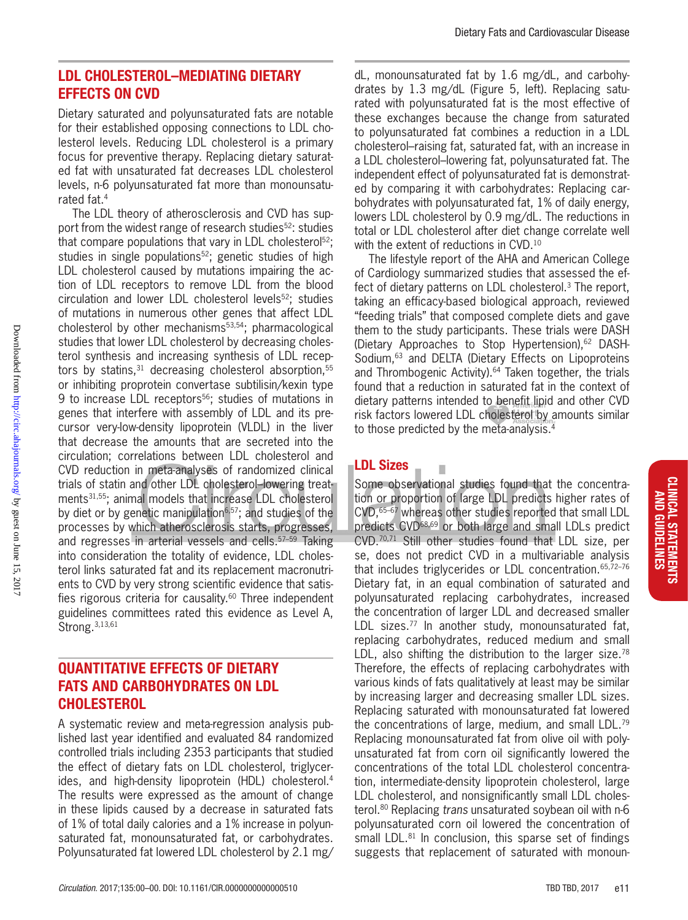# LDL CHOLESTEROL–MEDIATING DIETARY EFFECTS ON CVD

Dietary saturated and polyunsaturated fats are notable for their established opposing connections to LDL cholesterol levels. Reducing LDL cholesterol is a primary focus for preventive therapy. Replacing dietary saturated fat with unsaturated fat decreases LDL cholesterol levels, n-6 polyunsaturated fat more than monounsaturated fat.4

The LDL theory of atherosclerosis and CVD has support from the widest range of research studies<sup>52</sup>: studies that compare populations that vary in LDL cholesterol<sup>52</sup>; studies in single populations<sup>52</sup>; genetic studies of high LDL cholesterol caused by mutations impairing the action of LDL receptors to remove LDL from the blood circulation and lower LDL cholesterol levels<sup>52</sup>; studies of mutations in numerous other genes that affect LDL cholesterol by other mechanisms53,54; pharmacological studies that lower LDL cholesterol by decreasing cholesterol synthesis and increasing synthesis of LDL receptors by statins,<sup>31</sup> decreasing cholesterol absorption,<sup>55</sup> or inhibiting proprotein convertase subtilisin/kexin type 9 to increase LDL receptors<sup>56</sup>; studies of mutations in genes that interfere with assembly of LDL and its precursor very-low-density lipoprotein (VLDL) in the liver that decrease the amounts that are secreted into the circulation; correlations between LDL cholesterol and CVD reduction in meta-analyses of randomized clinical trials of statin and other LDL cholesterol–lowering treatments<sup>31,55</sup>; animal models that increase LDL cholesterol by diet or by genetic manipulation<sup>6,57</sup>; and studies of the processes by which atherosclerosis starts, progresses, and regresses in arterial vessels and cells.<sup>57–59</sup> Taking into consideration the totality of evidence, LDL cholesterol links saturated fat and its replacement macronutrients to CVD by very strong scientific evidence that satisfies rigorous criteria for causality.<sup>60</sup> Three independent guidelines committees rated this evidence as Level A, Strong.3,13,61

# QUANTITATIVE EFFECTS OF DIETARY FATS AND CARBOHYDRATES ON LDL **CHOLESTEROL**

A systematic review and meta-regression analysis published last year identified and evaluated 84 randomized controlled trials including 2353 participants that studied the effect of dietary fats on LDL cholesterol, triglycerides, and high-density lipoprotein (HDL) cholesterol.4 The results were expressed as the amount of change in these lipids caused by a decrease in saturated fats of 1% of total daily calories and a 1% increase in polyunsaturated fat, monounsaturated fat, or carbohydrates. Polyunsaturated fat lowered LDL cholesterol by 2.1 mg/

dL, monounsaturated fat by 1.6 mg/dL, and carbohydrates by 1.3 mg/dL (Figure 5, left). Replacing saturated with polyunsaturated fat is the most effective of these exchanges because the change from saturated to polyunsaturated fat combines a reduction in a LDL cholesterol–raising fat, saturated fat, with an increase in a LDL cholesterol–lowering fat, polyunsaturated fat. The independent effect of polyunsaturated fat is demonstrated by comparing it with carbohydrates: Replacing carbohydrates with polyunsaturated fat, 1% of daily energy, lowers LDL cholesterol by 0.9 mg/dL. The reductions in total or LDL cholesterol after diet change correlate well with the extent of reductions in CVD.<sup>10</sup>

The lifestyle report of the AHA and American College of Cardiology summarized studies that assessed the effect of dietary patterns on LDL cholesterol.<sup>3</sup> The report, taking an efficacy-based biological approach, reviewed "feeding trials" that composed complete diets and gave them to the study participants. These trials were DASH (Dietary Approaches to Stop Hypertension),<sup>62</sup> DASH-Sodium,<sup>63</sup> and DELTA (Dietary Effects on Lipoproteins and Thrombogenic Activity).<sup>64</sup> Taken together, the trials found that a reduction in saturated fat in the context of dietary patterns intended to benefit lipid and other CVD risk factors lowered LDL cholesterol by amounts similar to those predicted by the meta-analysis.4

# LDL Sizes

Some observational studies found that the concentration or proportion of large LDL predicts higher rates of CVD,<sup>65–67</sup> whereas other studies reported that small LDL predicts CVD68,69 or both large and small LDLs predict CVD.<sup>70,71</sup> Still other studies found that LDL size, per se, does not predict CVD in a multivariable analysis that includes triglycerides or LDL concentration.65,72–76 Dietary fat, in an equal combination of saturated and polyunsaturated replacing carbohydrates, increased the concentration of larger LDL and decreased smaller LDL sizes.<sup>77</sup> In another study, monounsaturated fat, replacing carbohydrates, reduced medium and small LDL, also shifting the distribution to the larger size.<sup>78</sup> Therefore, the effects of replacing carbohydrates with various kinds of fats qualitatively at least may be similar by increasing larger and decreasing smaller LDL sizes. Replacing saturated with monounsaturated fat lowered the concentrations of large, medium, and small LDL.79 Replacing monounsaturated fat from olive oil with polyunsaturated fat from corn oil significantly lowered the concentrations of the total LDL cholesterol concentration, intermediate-density lipoprotein cholesterol, large LDL cholesterol, and nonsignificantly small LDL cholesterol.80 Replacing *trans* unsaturated soybean oil with n-6 polyunsaturated corn oil lowered the concentration of small LDL.<sup>81</sup> In conclusion, this sparse set of findings suggests that replacement of saturated with monoun-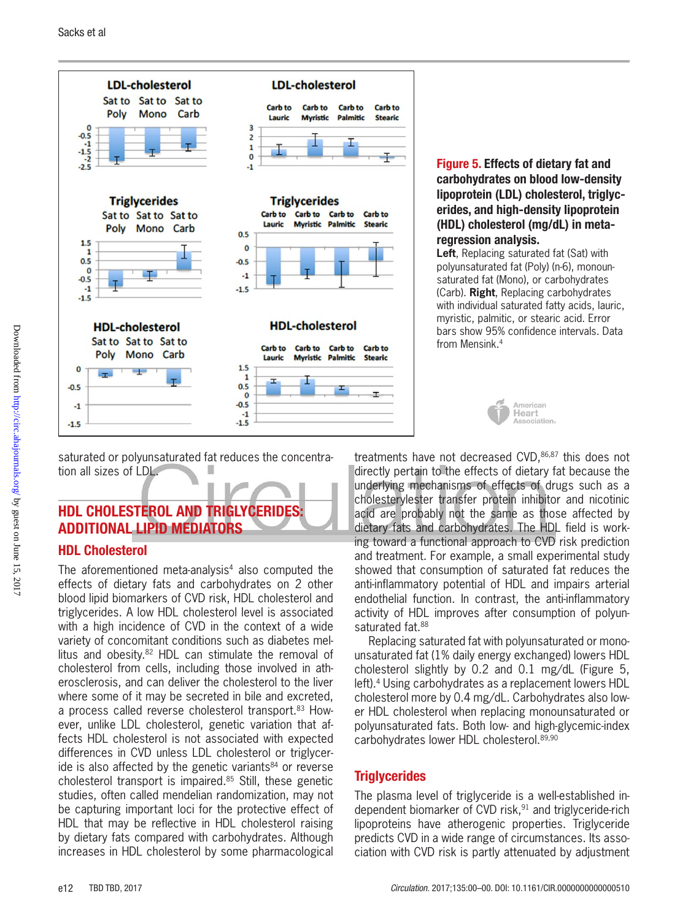

#### Figure 5. Effects of dietary fat and carbohydrates on blood low-density lipoprotein (LDL) cholesterol, triglycerides, and high-density lipoprotein (HDL) cholesterol (mg/dL) in metaregression analysis.

**Left**, Replacing saturated fat (Sat) with polyunsaturated fat (Poly) (n-6), monounsaturated fat (Mono), or carbohydrates (Carb). **Right**, Replacing carbohydrates with individual saturated fatty acids, lauric, myristic, palmitic, or stearic acid. Error bars show 95% confidence intervals. Data from Mensink.4



saturated or polyunsaturated fat reduces the concentration all sizes of LDL.

# HDL CHOLESTEROL AND TRIGLYCERIDES: ADDITIONAL LIPID MEDIATORS

## HDL Cholesterol

The aforementioned meta-analysis $4$  also computed the effects of dietary fats and carbohydrates on 2 other blood lipid biomarkers of CVD risk, HDL cholesterol and triglycerides. A low HDL cholesterol level is associated with a high incidence of CVD in the context of a wide variety of concomitant conditions such as diabetes mellitus and obesity.82 HDL can stimulate the removal of cholesterol from cells, including those involved in atherosclerosis, and can deliver the cholesterol to the liver where some of it may be secreted in bile and excreted, a process called reverse cholesterol transport.<sup>83</sup> However, unlike LDL cholesterol, genetic variation that affects HDL cholesterol is not associated with expected differences in CVD unless LDL cholesterol or triglyceride is also affected by the genetic variants $84$  or reverse cholesterol transport is impaired.85 Still, these genetic studies, often called mendelian randomization, may not be capturing important loci for the protective effect of HDL that may be reflective in HDL cholesterol raising by dietary fats compared with carbohydrates. Although increases in HDL cholesterol by some pharmacological

treatments have not decreased CVD, $86,87$  this does not directly pertain to the effects of dietary fat because the underlying mechanisms of effects of drugs such as a cholesterylester transfer protein inhibitor and nicotinic acid are probably not the same as those affected by dietary fats and carbohydrates. The HDL field is working toward a functional approach to CVD risk prediction and treatment. For example, a small experimental study showed that consumption of saturated fat reduces the anti-inflammatory potential of HDL and impairs arterial endothelial function. In contrast, the anti-inflammatory activity of HDL improves after consumption of polyunsaturated fat.<sup>88</sup>

Replacing saturated fat with polyunsaturated or monounsaturated fat (1% daily energy exchanged) lowers HDL cholesterol slightly by 0.2 and 0.1 mg/dL (Figure 5, left).<sup>4</sup> Using carbohydrates as a replacement lowers HDL cholesterol more by 0.4 mg/dL. Carbohydrates also lower HDL cholesterol when replacing monounsaturated or polyunsaturated fats. Both low- and high-glycemic-index carbohydrates lower HDL cholesterol.89,90

# **Triglycerides**

The plasma level of triglyceride is a well-established independent biomarker of CVD risk,<sup>91</sup> and triglyceride-rich lipoproteins have atherogenic properties. Triglyceride predicts CVD in a wide range of circumstances. Its association with CVD risk is partly attenuated by adjustment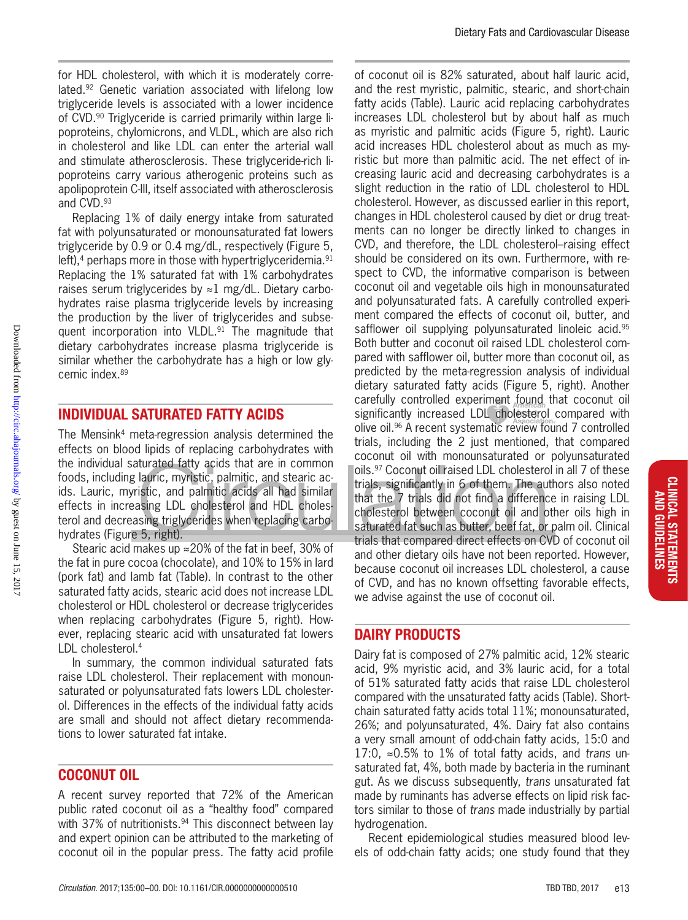for HDL cholesterol, with which it is moderately correlated.<sup>92</sup> Genetic variation associated with lifelong low triglyceride levels is associated with a lower incidence of CVD.90 Triglyceride is carried primarily within large lipoproteins, chylomicrons, and VLDL, which are also rich in cholesterol and like LDL can enter the arterial wall and stimulate atherosclerosis. These triglyceride-rich lipoproteins carry various atherogenic proteins such as apolipoprotein C-III, itself associated with atherosclerosis and CVD.93

Replacing 1% of daily energy intake from saturated fat with polyunsaturated or monounsaturated fat lowers triglyceride by 0.9 or 0.4 mg/dL, respectively (Figure 5, left), $4$  perhaps more in those with hypertriglyceridemia. $91$ Replacing the 1% saturated fat with 1% carbohydrates raises serum triglycerides by ≈1 mg/dL. Dietary carbohydrates raise plasma triglyceride levels by increasing the production by the liver of triglycerides and subsequent incorporation into VLDL.<sup>91</sup> The magnitude that dietary carbohydrates increase plasma triglyceride is similar whether the carbohydrate has a high or low glycemic index.89

#### INDIVIDUAL SATURATED FATTY ACIDS

The Mensink4 meta-regression analysis determined the effects on blood lipids of replacing carbohydrates with the individual saturated fatty acids that are in common foods, including lauric, myristic, palmitic, and stearic acids. Lauric, myristic, and palmitic acids all had similar effects in increasing LDL cholesterol and HDL cholesterol and decreasing triglycerides when replacing carbohydrates (Figure 5, right).

Stearic acid makes up ≈20% of the fat in beef, 30% of the fat in pure cocoa (chocolate), and 10% to 15% in lard (pork fat) and lamb fat (Table). In contrast to the other saturated fatty acids, stearic acid does not increase LDL cholesterol or HDL cholesterol or decrease triglycerides when replacing carbohydrates (Figure 5, right). However, replacing stearic acid with unsaturated fat lowers LDL cholesterol.<sup>4</sup>

In summary, the common individual saturated fats raise LDL cholesterol. Their replacement with monounsaturated or polyunsaturated fats lowers LDL cholesterol. Differences in the effects of the individual fatty acids are small and should not affect dietary recommendations to lower saturated fat intake.

#### COCONUT OIL

A recent survey reported that 72% of the American public rated coconut oil as a "healthy food" compared with 37% of nutritionists.<sup>94</sup> This disconnect between lay and expert opinion can be attributed to the marketing of coconut oil in the popular press. The fatty acid profile

of coconut oil is 82% saturated, about half lauric acid, and the rest myristic, palmitic, stearic, and short-chain fatty acids (Table). Lauric acid replacing carbohydrates increases LDL cholesterol but by about half as much as myristic and palmitic acids (Figure 5, right). Lauric acid increases HDL cholesterol about as much as myristic but more than palmitic acid. The net effect of increasing lauric acid and decreasing carbohydrates is a slight reduction in the ratio of LDL cholesterol to HDL cholesterol. However, as discussed earlier in this report, changes in HDL cholesterol caused by diet or drug treatments can no longer be directly linked to changes in CVD, and therefore, the LDL cholesterol–raising effect should be considered on its own. Furthermore, with respect to CVD, the informative comparison is between coconut oil and vegetable oils high in monounsaturated and polyunsaturated fats. A carefully controlled experiment compared the effects of coconut oil, butter, and safflower oil supplying polyunsaturated linoleic acid.<sup>95</sup> Both butter and coconut oil raised LDL cholesterol compared with safflower oil, butter more than coconut oil, as predicted by the meta-regression analysis of individual dietary saturated fatty acids (Figure 5, right). Another carefully controlled experiment found that coconut oil significantly increased LDL cholesterol compared with olive oil.96 A recent systematic review found 7 controlled trials, including the 2 just mentioned, that compared coconut oil with monounsaturated or polyunsaturated oils.97 Coconut oil raised LDL cholesterol in all 7 of these trials, significantly in 6 of them. The authors also noted that the 7 trials did not find a difference in raising LDL cholesterol between coconut oil and other oils high in saturated fat such as butter, beef fat, or palm oil. Clinical trials that compared direct effects on CVD of coconut oil and other dietary oils have not been reported. However, because coconut oil increases LDL cholesterol, a cause of CVD, and has no known offsetting favorable effects, we advise against the use of coconut oil.

## DAIRY PRODUCTS

Dairy fat is composed of 27% palmitic acid, 12% stearic acid, 9% myristic acid, and 3% lauric acid, for a total of 51% saturated fatty acids that raise LDL cholesterol compared with the unsaturated fatty acids (Table). Shortchain saturated fatty acids total 11%; monounsaturated, 26%; and polyunsaturated, 4%. Dairy fat also contains a very small amount of odd-chain fatty acids, 15:0 and 17:0, ≈0.5% to 1% of total fatty acids, and *trans* unsaturated fat, 4%, both made by bacteria in the ruminant gut. As we discuss subsequently, *trans* unsaturated fat made by ruminants has adverse effects on lipid risk factors similar to those of *trans* made industrially by partial hydrogenation.

Recent epidemiological studies measured blood levels of odd-chain fatty acids; one study found that they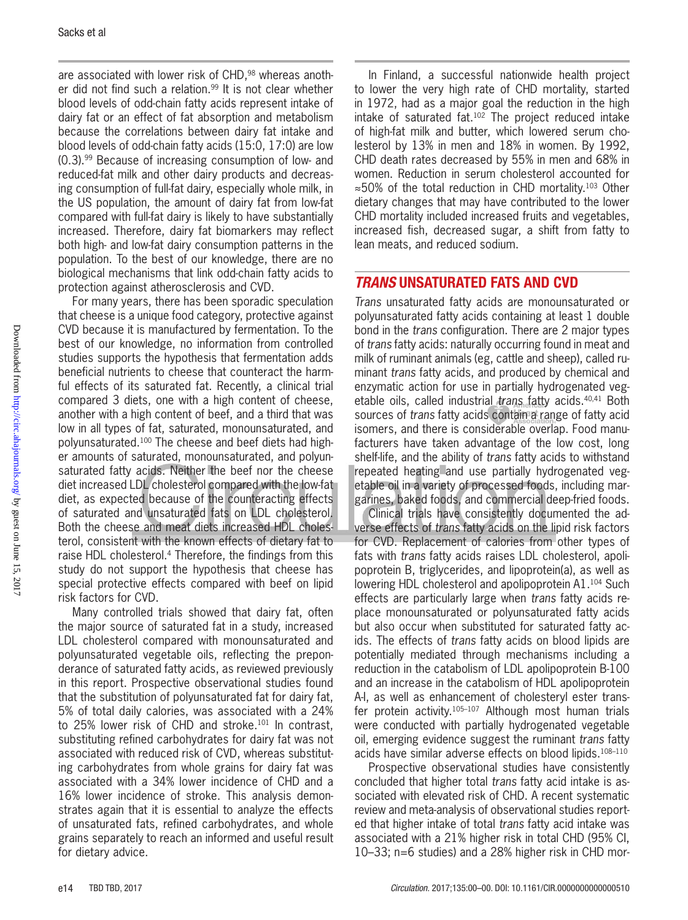are associated with lower risk of CHD,<sup>98</sup> whereas another did not find such a relation.<sup>99</sup> It is not clear whether blood levels of odd-chain fatty acids represent intake of dairy fat or an effect of fat absorption and metabolism because the correlations between dairy fat intake and blood levels of odd-chain fatty acids (15:0, 17:0) are low (0.3).99 Because of increasing consumption of low- and reduced-fat milk and other dairy products and decreasing consumption of full-fat dairy, especially whole milk, in the US population, the amount of dairy fat from low-fat compared with full-fat dairy is likely to have substantially increased. Therefore, dairy fat biomarkers may reflect both high- and low-fat dairy consumption patterns in the population. To the best of our knowledge, there are no biological mechanisms that link odd-chain fatty acids to protection against atherosclerosis and CVD.

For many years, there has been sporadic speculation that cheese is a unique food category, protective against CVD because it is manufactured by fermentation. To the best of our knowledge, no information from controlled studies supports the hypothesis that fermentation adds beneficial nutrients to cheese that counteract the harmful effects of its saturated fat. Recently, a clinical trial compared 3 diets, one with a high content of cheese, another with a high content of beef, and a third that was low in all types of fat, saturated, monounsaturated, and polyunsaturated.100 The cheese and beef diets had higher amounts of saturated, monounsaturated, and polyunsaturated fatty acids. Neither the beef nor the cheese diet increased LDL cholesterol compared with the low-fat diet, as expected because of the counteracting effects of saturated and unsaturated fats on LDL cholesterol. Both the cheese and meat diets increased HDL cholesterol, consistent with the known effects of dietary fat to raise HDL cholesterol.<sup>4</sup> Therefore, the findings from this study do not support the hypothesis that cheese has special protective effects compared with beef on lipid risk factors for CVD.

Many controlled trials showed that dairy fat, often the major source of saturated fat in a study, increased LDL cholesterol compared with monounsaturated and polyunsaturated vegetable oils, reflecting the preponderance of saturated fatty acids, as reviewed previously in this report. Prospective observational studies found that the substitution of polyunsaturated fat for dairy fat, 5% of total daily calories, was associated with a 24% to 25% lower risk of CHD and stroke.101 In contrast, substituting refined carbohydrates for dairy fat was not associated with reduced risk of CVD, whereas substituting carbohydrates from whole grains for dairy fat was associated with a 34% lower incidence of CHD and a 16% lower incidence of stroke. This analysis demonstrates again that it is essential to analyze the effects of unsaturated fats, refined carbohydrates, and whole grains separately to reach an informed and useful result for dietary advice.

In Finland, a successful nationwide health project to lower the very high rate of CHD mortality, started in 1972, had as a major goal the reduction in the high intake of saturated fat.102 The project reduced intake of high-fat milk and butter, which lowered serum cholesterol by 13% in men and 18% in women. By 1992, CHD death rates decreased by 55% in men and 68% in women. Reduction in serum cholesterol accounted for ≈50% of the total reduction in CHD mortality.103 Other dietary changes that may have contributed to the lower CHD mortality included increased fruits and vegetables, increased fish, decreased sugar, a shift from fatty to lean meats, and reduced sodium.

## *TRANS* UNSATURATED FATS AND CVD

*Trans* unsaturated fatty acids are monounsaturated or polyunsaturated fatty acids containing at least 1 double bond in the *trans* configuration. There are 2 major types of *trans* fatty acids: naturally occurring found in meat and milk of ruminant animals (eg, cattle and sheep), called ruminant *trans* fatty acids, and produced by chemical and enzymatic action for use in partially hydrogenated vegetable oils, called industrial *trans* fatty acids.40,41 Both sources of *trans* fatty acids contain a range of fatty acid isomers, and there is considerable overlap. Food manufacturers have taken advantage of the low cost, long shelf-life, and the ability of *trans* fatty acids to withstand repeated heating and use partially hydrogenated vegetable oil in a variety of processed foods, including margarines, baked foods, and commercial deep-fried foods.

Clinical trials have consistently documented the adverse effects of *trans* fatty acids on the lipid risk factors for CVD. Replacement of calories from other types of fats with *trans* fatty acids raises LDL cholesterol, apolipoprotein B, triglycerides, and lipoprotein(a), as well as lowering HDL cholesterol and apolipoprotein A1.104 Such effects are particularly large when *trans* fatty acids replace monounsaturated or polyunsaturated fatty acids but also occur when substituted for saturated fatty acids. The effects of *trans* fatty acids on blood lipids are potentially mediated through mechanisms including a reduction in the catabolism of LDL apolipoprotein B-100 and an increase in the catabolism of HDL apolipoprotein A-I, as well as enhancement of cholesteryl ester transfer protein activity.105–107 Although most human trials were conducted with partially hydrogenated vegetable oil, emerging evidence suggest the ruminant *trans* fatty acids have similar adverse effects on blood lipids.108–110

Prospective observational studies have consistently concluded that higher total *trans* fatty acid intake is associated with elevated risk of CHD. A recent systematic review and meta-analysis of observational studies reported that higher intake of total *trans* fatty acid intake was associated with a 21% higher risk in total CHD (95% CI, 10–33; n=6 studies) and a 28% higher risk in CHD mor-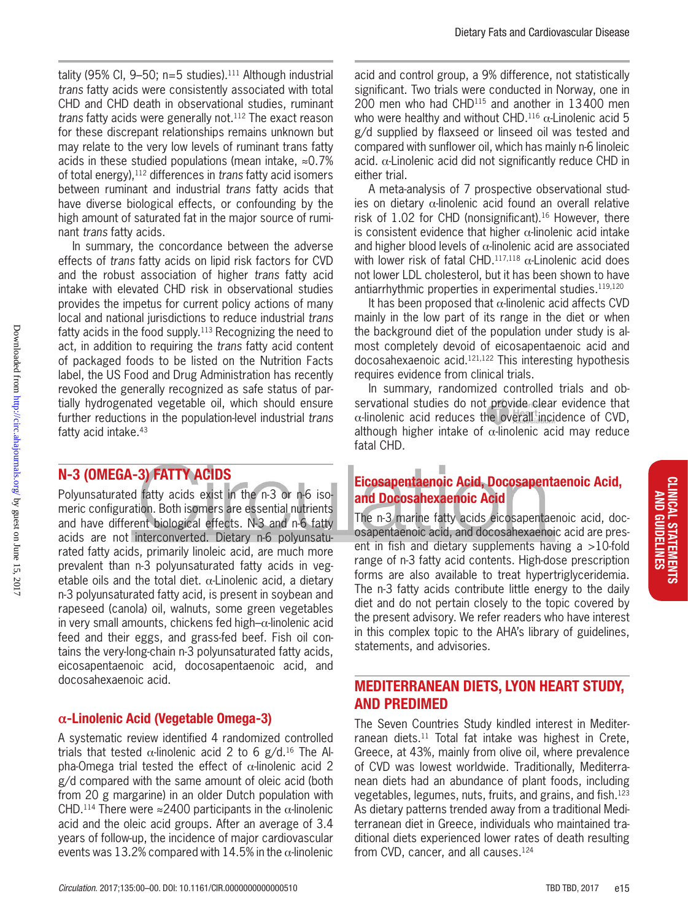tality (95% CI, 9-50;  $n=5$  studies).<sup>111</sup> Although industrial *trans* fatty acids were consistently associated with total CHD and CHD death in observational studies, ruminant *trans* fatty acids were generally not.112 The exact reason for these discrepant relationships remains unknown but may relate to the very low levels of ruminant trans fatty acids in these studied populations (mean intake, ≈0.7% of total energy),112 differences in *trans* fatty acid isomers between ruminant and industrial *trans* fatty acids that have diverse biological effects, or confounding by the high amount of saturated fat in the major source of ruminant *trans* fatty acids.

In summary, the concordance between the adverse effects of *trans* fatty acids on lipid risk factors for CVD and the robust association of higher *trans* fatty acid intake with elevated CHD risk in observational studies provides the impetus for current policy actions of many local and national jurisdictions to reduce industrial *trans* fatty acids in the food supply.113 Recognizing the need to act, in addition to requiring the *trans* fatty acid content of packaged foods to be listed on the Nutrition Facts label, the US Food and Drug Administration has recently revoked the generally recognized as safe status of partially hydrogenated vegetable oil, which should ensure further reductions in the population-level industrial *trans* fatty acid intake.<sup>43</sup>

# N-3 (OMEGA-3) FATTY ACIDS

Polyunsaturated fatty acids exist in the n-3 or n-6 isomeric configuration. Both isomers are essential nutrients and have different biological effects. N-3 and n-6 fatty acids are not interconverted. Dietary n-6 polyunsaturated fatty acids, primarily linoleic acid, are much more prevalent than n-3 polyunsaturated fatty acids in vegetable oils and the total diet.  $\alpha$ -Linolenic acid, a dietary n-3 polyunsaturated fatty acid, is present in soybean and rapeseed (canola) oil, walnuts, some green vegetables in very small amounts, chickens fed high– $\alpha$ -linolenic acid feed and their eggs, and grass-fed beef. Fish oil contains the very-long-chain n-3 polyunsaturated fatty acids, eicosapentaenoic acid, docosapentaenoic acid, and docosahexaenoic acid.

## **α**-Linolenic Acid (Vegetable Omega-3)

A systematic review identified 4 randomized controlled trials that tested  $\alpha$ -linolenic acid 2 to 6 g/d.<sup>16</sup> The Alpha-Omega trial tested the effect of  $\alpha$ -linolenic acid 2 g/d compared with the same amount of oleic acid (both from 20 g margarine) in an older Dutch population with CHD.<sup>114</sup> There were ≈2400 participants in the  $\alpha$ -linolenic acid and the oleic acid groups. After an average of 3.4 years of follow-up, the incidence of major cardiovascular events was 13.2% compared with 14.5% in the  $\alpha$ -linolenic

acid and control group, a 9% difference, not statistically significant. Two trials were conducted in Norway, one in 200 men who had CHD115 and another in 13400 men who were healthy and without CHD.<sup>116</sup>  $\alpha$ -Linolenic acid 5 g/d supplied by flaxseed or linseed oil was tested and compared with sunflower oil, which has mainly n-6 linoleic acid.  $\alpha$ -Linolenic acid did not significantly reduce CHD in either trial.

A meta-analysis of 7 prospective observational studies on dietary  $\alpha$ -linolenic acid found an overall relative risk of  $1.02$  for CHD (nonsignificant).<sup>16</sup> However, there is consistent evidence that higher  $\alpha$ -linolenic acid intake and higher blood levels of  $\alpha$ -linolenic acid are associated with lower risk of fatal CHD.<sup>117,118</sup>  $\alpha$ -Linolenic acid does not lower LDL cholesterol, but it has been shown to have antiarrhythmic properties in experimental studies.<sup>119,120</sup>

It has been proposed that  $\alpha$ -linolenic acid affects CVD mainly in the low part of its range in the diet or when the background diet of the population under study is almost completely devoid of eicosapentaenoic acid and docosahexaenoic acid.121,122 This interesting hypothesis requires evidence from clinical trials.

In summary, randomized controlled trials and observational studies do not provide clear evidence that α-linolenic acid reduces the overall incidence of CVD, although higher intake of  $\alpha$ -linolenic acid may reduce fatal CHD.

# Eicosapentaenoic Acid, Docosapentaenoic Acid, and Docosahexaenoic Acid

The n-3 marine fatty acids eicosapentaenoic acid, docosapentaenoic acid, and docosahexaenoic acid are present in fish and dietary supplements having  $a > 10$ -fold range of n-3 fatty acid contents. High-dose prescription forms are also available to treat hypertriglyceridemia. The n-3 fatty acids contribute little energy to the daily diet and do not pertain closely to the topic covered by the present advisory. We refer readers who have interest in this complex topic to the AHA's library of guidelines, statements, and advisories.

# MEDITERRANEAN DIETS, LYON HEART STUDY, AND PREDIMED

The Seven Countries Study kindled interest in Mediterranean diets.11 Total fat intake was highest in Crete, Greece, at 43%, mainly from olive oil, where prevalence of CVD was lowest worldwide. Traditionally, Mediterranean diets had an abundance of plant foods, including vegetables, legumes, nuts, fruits, and grains, and fish.123 As dietary patterns trended away from a traditional Mediterranean diet in Greece, individuals who maintained traditional diets experienced lower rates of death resulting from CVD, cancer, and all causes.<sup>124</sup>

Downloaded from http://circ.ahajournals.org/ by guest on June 15, 2017 Downloaded from <http://circ.ahajournals.org/> by guest on June 15, 2017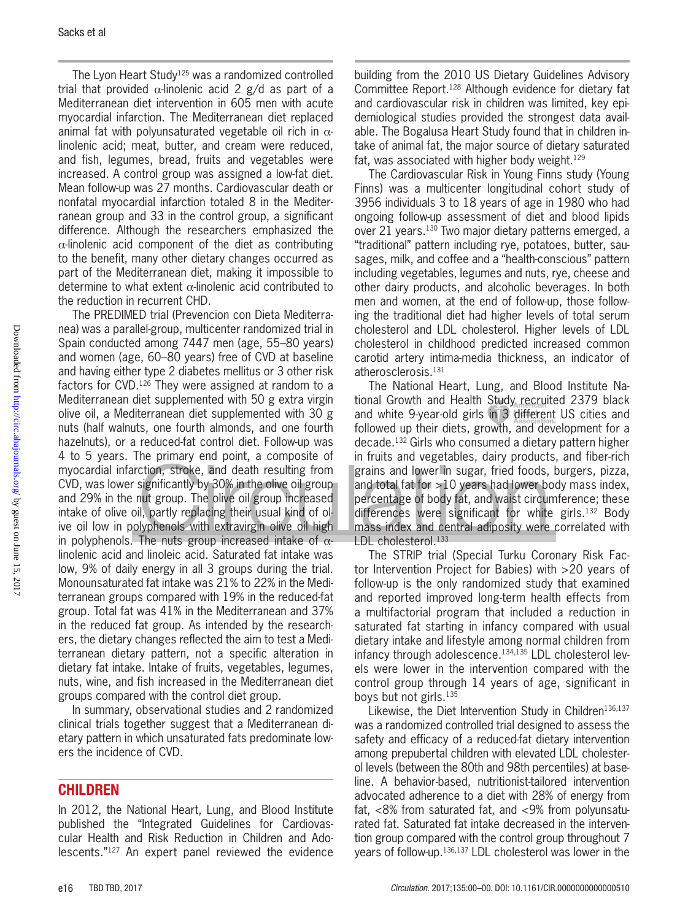The Lyon Heart Study<sup>125</sup> was a randomized controlled trial that provided  $α$ -linolenic acid 2 g/d as part of a Mediterranean diet intervention in 605 men with acute myocardial infarction. The Mediterranean diet replaced animal fat with polyunsaturated vegetable oil rich in  $\alpha$ linolenic acid; meat, butter, and cream were reduced, and fish, legumes, bread, fruits and vegetables were increased. A control group was assigned a low-fat diet. Mean follow-up was 27 months. Cardiovascular death or nonfatal myocardial infarction totaled 8 in the Mediterranean group and 33 in the control group, a significant difference. Although the researchers emphasized the  $\alpha$ -linolenic acid component of the diet as contributing to the benefit, many other dietary changes occurred as part of the Mediterranean diet, making it impossible to determine to what extent  $\alpha$ -linolenic acid contributed to the reduction in recurrent CHD.

The PREDIMED trial (Prevencion con Dieta Mediterranea) was a parallel-group, multicenter randomized trial in Spain conducted among 7447 men (age, 55–80 years) and women (age, 60–80 years) free of CVD at baseline and having either type 2 diabetes mellitus or 3 other risk factors for CVD.<sup>126</sup> They were assigned at random to a Mediterranean diet supplemented with 50 g extra virgin olive oil, a Mediterranean diet supplemented with 30 g nuts (half walnuts, one fourth almonds, and one fourth hazelnuts), or a reduced-fat control diet. Follow-up was 4 to 5 years. The primary end point, a composite of myocardial infarction, stroke, and death resulting from CVD, was lower significantly by 30% in the olive oil group and 29% in the nut group. The olive oil group increased intake of olive oil, partly replacing their usual kind of olive oil low in polyphenols with extravirgin olive oil high in polyphenols. The nuts group increased intake of  $\alpha$ linolenic acid and linoleic acid. Saturated fat intake was low, 9% of daily energy in all 3 groups during the trial. Monounsaturated fat intake was 21% to 22% in the Mediterranean groups compared with 19% in the reduced-fat group. Total fat was 41% in the Mediterranean and 37% in the reduced fat group. As intended by the researchers, the dietary changes reflected the aim to test a Mediterranean dietary pattern, not a specific alteration in dietary fat intake. Intake of fruits, vegetables, legumes, nuts, wine, and fish increased in the Mediterranean diet groups compared with the control diet group.

In summary, observational studies and 2 randomized clinical trials together suggest that a Mediterranean dietary pattern in which unsaturated fats predominate lowers the incidence of CVD.

## **CHILDREN**

In 2012, the National Heart, Lung, and Blood Institute published the "Integrated Guidelines for Cardiovascular Health and Risk Reduction in Children and Adolescents."127 An expert panel reviewed the evidence building from the 2010 US Dietary Guidelines Advisory Committee Report.128 Although evidence for dietary fat and cardiovascular risk in children was limited, key epidemiological studies provided the strongest data available. The Bogalusa Heart Study found that in children intake of animal fat, the major source of dietary saturated fat, was associated with higher body weight. $129$ 

The Cardiovascular Risk in Young Finns study (Young Finns) was a multicenter longitudinal cohort study of 3956 individuals 3 to 18 years of age in 1980 who had ongoing follow-up assessment of diet and blood lipids over 21 years.<sup>130</sup> Two major dietary patterns emerged, a "traditional" pattern including rye, potatoes, butter, sausages, milk, and coffee and a "health-conscious" pattern including vegetables, legumes and nuts, rye, cheese and other dairy products, and alcoholic beverages. In both men and women, at the end of follow-up, those following the traditional diet had higher levels of total serum cholesterol and LDL cholesterol. Higher levels of LDL cholesterol in childhood predicted increased common carotid artery intima-media thickness, an indicator of atherosclerosis.131

The National Heart, Lung, and Blood Institute National Growth and Health Study recruited 2379 black and white 9-year-old girls in 3 different US cities and followed up their diets, growth, and development for a decade.132 Girls who consumed a dietary pattern higher in fruits and vegetables, dairy products, and fiber-rich grains and lower in sugar, fried foods, burgers, pizza, and total fat for  $>10$  years had lower body mass index, percentage of body fat, and waist circumference; these differences were significant for white girls.<sup>132</sup> Body mass index and central adiposity were correlated with LDL cholesterol.<sup>133</sup>

The STRIP trial (Special Turku Coronary Risk Factor Intervention Project for Babies) with >20 years of follow-up is the only randomized study that examined and reported improved long-term health effects from a multifactorial program that included a reduction in saturated fat starting in infancy compared with usual dietary intake and lifestyle among normal children from infancy through adolescence.<sup>134,135</sup> LDL cholesterol levels were lower in the intervention compared with the control group through 14 years of age, significant in boys but not girls.135

Likewise, the Diet Intervention Study in Children<sup>136,137</sup> was a randomized controlled trial designed to assess the safety and efficacy of a reduced-fat dietary intervention among prepubertal children with elevated LDL cholesterol levels (between the 80th and 98th percentiles) at baseline. A behavior-based, nutritionist-tailored intervention advocated adherence to a diet with 28% of energy from fat, <8% from saturated fat, and <9% from polyunsaturated fat. Saturated fat intake decreased in the intervention group compared with the control group throughout 7 years of follow-up.136,137 LDL cholesterol was lower in the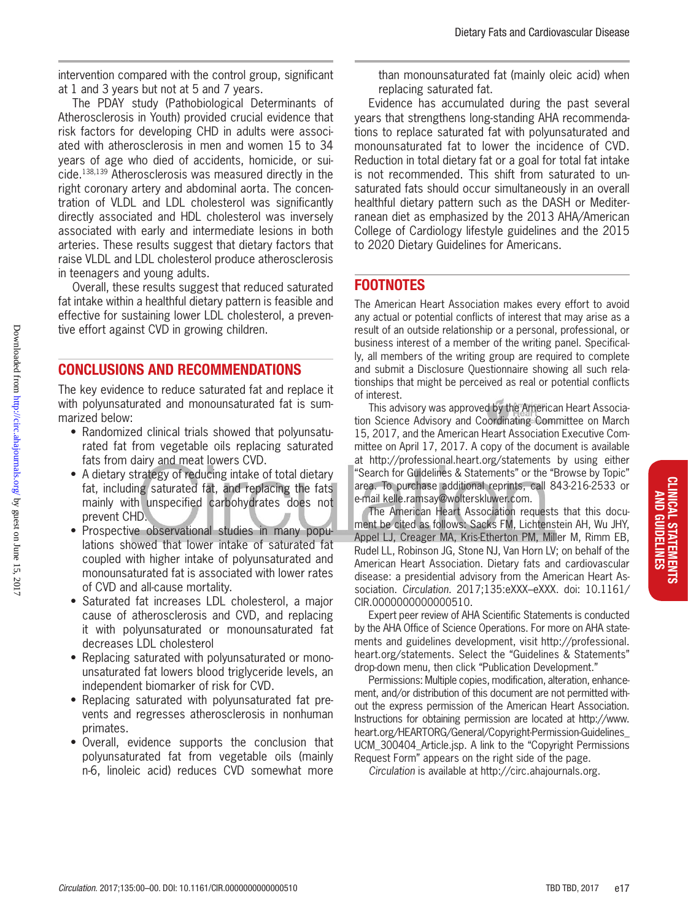intervention compared with the control group, significant at 1 and 3 years but not at 5 and 7 years.

The PDAY study (Pathobiological Determinants of Atherosclerosis in Youth) provided crucial evidence that risk factors for developing CHD in adults were associated with atherosclerosis in men and women 15 to 34 years of age who died of accidents, homicide, or suicide.138,139 Atherosclerosis was measured directly in the right coronary artery and abdominal aorta. The concentration of VLDL and LDL cholesterol was significantly directly associated and HDL cholesterol was inversely associated with early and intermediate lesions in both arteries. These results suggest that dietary factors that raise VLDL and LDL cholesterol produce atherosclerosis in teenagers and young adults.

Overall, these results suggest that reduced saturated fat intake within a healthful dietary pattern is feasible and effective for sustaining lower LDL cholesterol, a preventive effort against CVD in growing children.

## CONCLUSIONS AND RECOMMENDATIONS

The key evidence to reduce saturated fat and replace it with polyunsaturated and monounsaturated fat is summarized below:

- Randomized clinical trials showed that polyunsaturated fat from vegetable oils replacing saturated fats from dairy and meat lowers CVD.
- A dietary strategy of reducing intake of total dietary fat, including saturated fat, and replacing the fats mainly with unspecified carbohydrates does not prevent CHD.
- Prospective observational studies in many populations showed that lower intake of saturated fat coupled with higher intake of polyunsaturated and monounsaturated fat is associated with lower rates of CVD and all-cause mortality.
- Saturated fat increases LDL cholesterol, a major cause of atherosclerosis and CVD, and replacing it with polyunsaturated or monounsaturated fat decreases LDL cholesterol
- Replacing saturated with polyunsaturated or monounsaturated fat lowers blood triglyceride levels, an independent biomarker of risk for CVD.
- Replacing saturated with polyunsaturated fat prevents and regresses atherosclerosis in nonhuman primates.
- Overall, evidence supports the conclusion that polyunsaturated fat from vegetable oils (mainly n-6, linoleic acid) reduces CVD somewhat more

than monounsaturated fat (mainly oleic acid) when replacing saturated fat.

Evidence has accumulated during the past several years that strengthens long-standing AHA recommendations to replace saturated fat with polyunsaturated and monounsaturated fat to lower the incidence of CVD. Reduction in total dietary fat or a goal for total fat intake is not recommended. This shift from saturated to unsaturated fats should occur simultaneously in an overall healthful dietary pattern such as the DASH or Mediterranean diet as emphasized by the 2013 AHA/American College of Cardiology lifestyle guidelines and the 2015 to 2020 Dietary Guidelines for Americans.

# FOOTNOTES

The American Heart Association makes every effort to avoid any actual or potential conflicts of interest that may arise as a result of an outside relationship or a personal, professional, or business interest of a member of the writing panel. Specifically, all members of the writing group are required to complete and submit a Disclosure Questionnaire showing all such relationships that might be perceived as real or potential conflicts of interest.

This advisory was approved by the American Heart Association Science Advisory and Coordinating Committee on March 15, 2017, and the American Heart Association Executive Committee on April 17, 2017. A copy of the document is available at http://professional.heart.org/statements by using either "Search for Guidelines & Statements" or the "Browse by Topic" area. To purchase additional reprints, call 843-216-2533 or e-mail [kelle.ramsay@wolterskluwer.com](mailto:kelle.ramsay@wolterskluwer.com).

The American Heart Association requests that this document be cited as follows: Sacks FM, Lichtenstein AH, Wu JHY, Appel LJ, Creager MA, Kris-Etherton PM, Miller M, Rimm EB, Rudel LL, Robinson JG, Stone NJ, Van Horn LV; on behalf of the American Heart Association. Dietary fats and cardiovascular disease: a presidential advisory from the American Heart Association. *Circulation.* 2017;135:eXXX–eXXX. doi: 10.1161/ CIR.0000000000000510.

Expert peer review of AHA Scientific Statements is conducted by the AHA Office of Science Operations. For more on AHA statements and guidelines development, visit http://professional. heart.org/statements. Select the "Guidelines & Statements" drop-down menu, then click "Publication Development."

Permissions: Multiple copies, modification, alteration, enhancement, and/or distribution of this document are not permitted without the express permission of the American Heart Association. Instructions for obtaining permission are located at http://www. heart.org/HEARTORG/General/Copyright-Permission-Guidelines\_ UCM\_300404\_Article.jsp. A link to the "Copyright Permissions Request Form" appears on the right side of the page.

*Circulation* is available at http://circ.ahajournals.org.

Downloaded from http://circ.ahajournals.org/ by guest on June 15, 2017 Downloaded from <http://circ.ahajournals.org/> by guest on June 15, 2017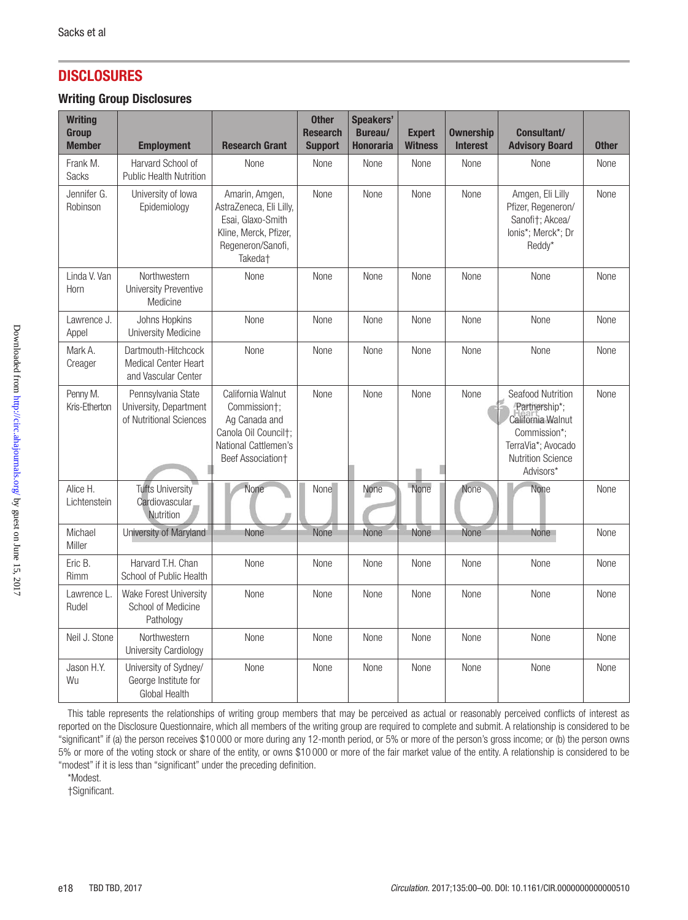# **DISCLOSURES**

#### Writing Group Disclosures

| <b>Writing</b><br><b>Group</b><br><b>Member</b> | <b>Employment</b>                                                       | <b>Research Grant</b>                                                                                                               | <b>Other</b><br><b>Research</b><br><b>Support</b> | Speakers'<br>Bureau/<br><b>Honoraria</b> | <b>Expert</b><br><b>Witness</b> | <b>Ownership</b><br><b>Interest</b> | Consultant/<br><b>Advisory Board</b>                                                                                                   | <b>Other</b> |
|-------------------------------------------------|-------------------------------------------------------------------------|-------------------------------------------------------------------------------------------------------------------------------------|---------------------------------------------------|------------------------------------------|---------------------------------|-------------------------------------|----------------------------------------------------------------------------------------------------------------------------------------|--------------|
| Frank M.<br><b>Sacks</b>                        | Harvard School of<br><b>Public Health Nutrition</b>                     | None                                                                                                                                | None                                              | None                                     | None                            | None                                | None                                                                                                                                   | None         |
| Jennifer G.<br>Robinson                         | University of lowa<br>Epidemiology                                      | Amarin, Amgen,<br>AstraZeneca, Eli Lilly,<br>Esai, Glaxo-Smith<br>Kline, Merck, Pfizer,<br>Regeneron/Sanofi,<br>Takeda <sup>+</sup> | None                                              | None                                     | None                            | None                                | Amgen, Eli Lilly<br>Pfizer, Regeneron/<br>Sanofit; Akcea/<br>lonis*; Merck*; Dr<br>Reddy*                                              | None         |
| Linda V. Van<br>Horn                            | Northwestern<br><b>University Preventive</b><br>Medicine                | None                                                                                                                                | None                                              | None                                     | None                            | None                                | None                                                                                                                                   | None         |
| Lawrence J.<br>Appel                            | Johns Hopkins<br><b>University Medicine</b>                             | None                                                                                                                                | None                                              | None                                     | None                            | None                                | None                                                                                                                                   | None         |
| Mark A.<br>Creager                              | Dartmouth-Hitchcock<br>Medical Center Heart<br>and Vascular Center      | None                                                                                                                                | None                                              | None                                     | None                            | None                                | None                                                                                                                                   | None         |
| Penny M.<br>Kris-Etherton                       | Pennsylvania State<br>University, Department<br>of Nutritional Sciences | California Walnut<br>Commission†;<br>Ag Canada and<br>Canola Oil Council†;<br>National Cattlemen's<br>Beef Association+             | None                                              | None                                     | None                            | None                                | Seafood Nutrition<br>Partnership*;<br>California Walnut<br>Commission*:<br>TerraVia*; Avocado<br><b>Nutrition Science</b><br>Advisors* | None         |
| Alice H.<br>Lichtenstein                        | <b>Tufts University</b><br>Cardiovascular<br>Nutrition                  | None                                                                                                                                | None                                              | None                                     | None                            | None                                | None                                                                                                                                   | None         |
| Michael<br>Miller                               | University of Maryland                                                  | None                                                                                                                                | None                                              | None                                     | None                            | None                                | None                                                                                                                                   | None         |
| Eric B.<br>Rimm                                 | Harvard T.H. Chan<br>School of Public Health                            | None                                                                                                                                | None                                              | None                                     | None                            | None                                | None                                                                                                                                   | None         |
| Lawrence L.<br>Rudel                            | Wake Forest University<br>School of Medicine<br>Pathology               | None                                                                                                                                | None                                              | None                                     | None                            | None                                | None                                                                                                                                   | None         |
| Neil J. Stone                                   | Northwestern<br>University Cardiology                                   | None                                                                                                                                | None                                              | None                                     | None                            | None                                | None                                                                                                                                   | None         |
| Jason H.Y.<br>Wu                                | University of Sydney/<br>George Institute for<br>Global Health          | None                                                                                                                                | None                                              | None                                     | None                            | None                                | None                                                                                                                                   | None         |

This table represents the relationships of writing group members that may be perceived as actual or reasonably perceived conflicts of interest as reported on the Disclosure Questionnaire, which all members of the writing group are required to complete and submit. A relationship is considered to be "significant" if (a) the person receives \$10 000 or more during any 12-month period, or 5% or more of the person's gross income; or (b) the person owns 5% or more of the voting stock or share of the entity, or owns \$10 000 or more of the fair market value of the entity. A relationship is considered to be "modest" if it is less than "significant" under the preceding definition.

\*Modest.

†Significant.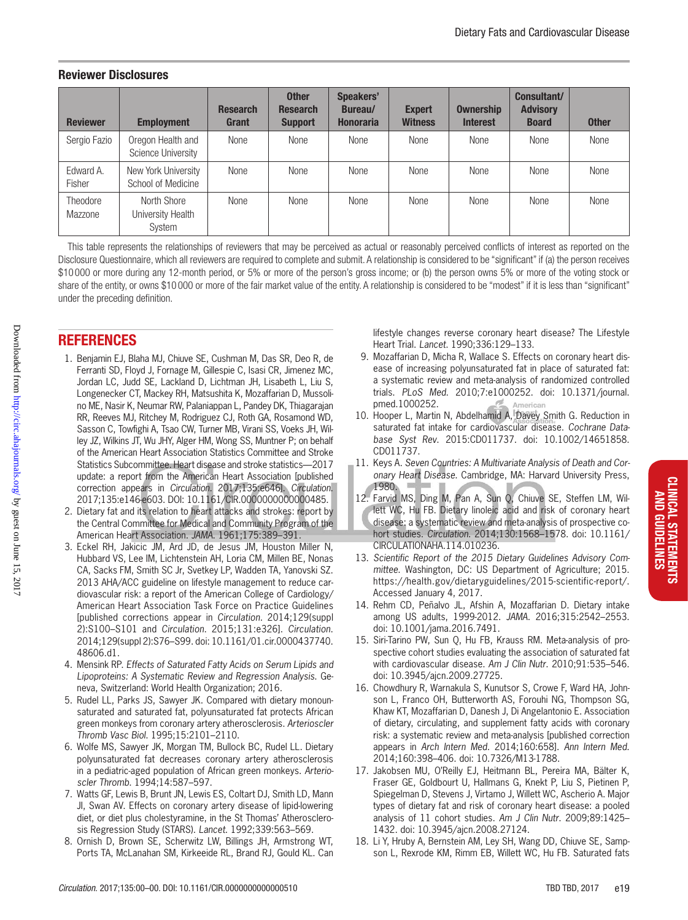#### Reviewer Disclosures

| <b>Reviewer</b>     | <b>Employment</b>                              | <b>Research</b><br>Grant | <b>Other</b><br><b>Research</b><br><b>Support</b> | Speakers'<br>Bureau/<br><b>Honoraria</b> | <b>Expert</b><br><b>Witness</b> | <b>Ownership</b><br><b>Interest</b> | Consultant/<br><b>Advisory</b><br><b>Board</b> | <b>Other</b> |
|---------------------|------------------------------------------------|--------------------------|---------------------------------------------------|------------------------------------------|---------------------------------|-------------------------------------|------------------------------------------------|--------------|
| Sergio Fazio        | Oregon Health and<br><b>Science University</b> | None                     | None                                              | None                                     | None                            | None                                | None                                           | None         |
| Edward A.<br>Fisher | New York University<br>School of Medicine      | None                     | <b>None</b>                                       | None                                     | None                            | None                                | None                                           | None         |
| Theodore<br>Mazzone | North Shore<br>University Health<br>System     | None                     | None                                              | None                                     | None                            | None                                | None                                           | None         |

This table represents the relationships of reviewers that may be perceived as actual or reasonably perceived conflicts of interest as reported on the Disclosure Questionnaire, which all reviewers are required to complete and submit. A relationship is considered to be "significant" if (a) the person receives \$10 000 or more during any 12-month period, or 5% or more of the person's gross income; or (b) the person owns 5% or more of the voting stock or share of the entity, or owns \$10 000 or more of the fair market value of the entity. A relationship is considered to be "modest" if it is less than "significant" under the preceding definition.

# REFERENCES

Downloaded from http://circ.ahajournals.org/ by guest on June 15, 2017 Downloaded from <http://circ.ahajournals.org/> by guest on June 15, 2017

- 1. Benjamin EJ, Blaha MJ, Chiuve SE, Cushman M, Das SR, Deo R, de Ferranti SD, Floyd J, Fornage M, Gillespie C, Isasi CR, Jimenez MC, Jordan LC, Judd SE, Lackland D, Lichtman JH, Lisabeth L, Liu S, Longenecker CT, Mackey RH, Matsushita K, Mozaffarian D, Mussolino ME, Nasir K, Neumar RW, Palaniappan L, Pandey DK, Thiagarajan RR, Reeves MJ, Ritchey M, Rodriguez CJ, Roth GA, Rosamond WD, Sasson C, Towfighi A, Tsao CW, Turner MB, Virani SS, Voeks JH, Willey JZ, Wilkins JT, Wu JHY, Alger HM, Wong SS, Muntner P; on behalf of the American Heart Association Statistics Committee and Stroke Statistics Subcommittee. Heart disease and stroke statistics—2017 update: a report from the American Heart Association [published correction appears in *Circulation*. 2017;135:e646]. *Circulation*. 2017;135:e146-e603. DOI: 10.1161/CIR.0000000000000485.
- 2. Dietary fat and its relation to heart attacks and strokes: report by the Central Committee for Medical and Community Program of the American Heart Association. *JAMA*. 1961;175:389–391.
- 3. Eckel RH, Jakicic JM, Ard JD, de Jesus JM, Houston Miller N, Hubbard VS, Lee IM, Lichtenstein AH, Loria CM, Millen BE, Nonas CA, Sacks FM, Smith SC Jr, Svetkey LP, Wadden TA, Yanovski SZ. 2013 AHA/ACC guideline on lifestyle management to reduce cardiovascular risk: a report of the American College of Cardiology/ American Heart Association Task Force on Practice Guidelines [published corrections appear in *Circulation*. 2014;129(suppl 2):S100–S101 and *Circulation*. 2015;131:e326]. *Circulation*. 2014;129(suppl 2):S76–S99. doi: 10.1161/01.cir.0000437740. 48606.d1.
- 4. Mensink RP. *Effects of Saturated Fatty Acids on Serum Lipids and Lipoproteins: A Systematic Review and Regression Analysis*. Geneva, Switzerland: World Health Organization; 2016.
- 5. Rudel LL, Parks JS, Sawyer JK. Compared with dietary monounsaturated and saturated fat, polyunsaturated fat protects African green monkeys from coronary artery atherosclerosis. *Arterioscler Thromb Vasc Biol*. 1995;15:2101–2110.
- 6. Wolfe MS, Sawyer JK, Morgan TM, Bullock BC, Rudel LL. Dietary polyunsaturated fat decreases coronary artery atherosclerosis in a pediatric-aged population of African green monkeys. *Arterioscler Thromb*. 1994;14:587–597.
- 7. Watts GF, Lewis B, Brunt JN, Lewis ES, Coltart DJ, Smith LD, Mann JI, Swan AV. Effects on coronary artery disease of lipid-lowering diet, or diet plus cholestyramine, in the St Thomas' Atherosclerosis Regression Study (STARS). *Lancet*. 1992;339:563–569.
- 8. Ornish D, Brown SE, Scherwitz LW, Billings JH, Armstrong WT, Ports TA, McLanahan SM, Kirkeeide RL, Brand RJ, Gould KL. Can

lifestyle changes reverse coronary heart disease? The Lifestyle Heart Trial. *Lancet*. 1990;336:129–133.

- 9. Mozaffarian D, Micha R, Wallace S. Effects on coronary heart disease of increasing polyunsaturated fat in place of saturated fat: a systematic review and meta-analysis of randomized controlled trials. *PLoS Med*. 2010;7:e1000252. doi: 10.1371/journal. pmed.1000252.
- 10. Hooper L, Martin N, Abdelhamid A, Davey Smith G. Reduction in saturated fat intake for cardiovascular disease. *Cochrane Database Syst Rev*. 2015:CD011737. doi: 10.1002/14651858. CD011737.
- 11. Keys A. *Seven Countries: A Multivariate Analysis of Death and Coronary Heart Disease*. Cambridge, MA: Harvard University Press, 1980.
- 12. Farvid MS, Ding M, Pan A, Sun Q, Chiuve SE, Steffen LM, Willett WC, Hu FB. Dietary linoleic acid and risk of coronary heart disease: a systematic review and meta-analysis of prospective cohort studies. *Circulation*. 2014;130:1568–1578. doi: 10.1161/ CIRCULATIONAHA.114.010236.
- 13. *Scientific Report of the 2015 Dietary Guidelines Advisory Committee*. Washington, DC: US Department of Agriculture; 2015. https://health.gov/dietaryguidelines/2015-scientific-report/. Accessed January 4, 2017.
- 14. Rehm CD, Peñalvo JL, Afshin A, Mozaffarian D. Dietary intake among US adults, 1999-2012. *JAMA*. 2016;315:2542–2553. doi: 10.1001/jama.2016.7491.
- 15. Siri-Tarino PW, Sun Q, Hu FB, Krauss RM. Meta-analysis of prospective cohort studies evaluating the association of saturated fat with cardiovascular disease. *Am J Clin Nutr*. 2010;91:535–546. doi: 10.3945/ajcn.2009.27725.
- 16. Chowdhury R, Warnakula S, Kunutsor S, Crowe F, Ward HA, Johnson L, Franco OH, Butterworth AS, Forouhi NG, Thompson SG, Khaw KT, Mozaffarian D, Danesh J, Di Angelantonio E. Association of dietary, circulating, and supplement fatty acids with coronary risk: a systematic review and meta-analysis [published correction appears in *Arch Intern Med*. 2014;160:658]. *Ann Intern Med*. 2014;160:398–406. doi: 10.7326/M13-1788.
- 17. Jakobsen MU, O'Reilly EJ, Heitmann BL, Pereira MA, Bälter K, Fraser GE, Goldbourt U, Hallmans G, Knekt P, Liu S, Pietinen P, Spiegelman D, Stevens J, Virtamo J, Willett WC, Ascherio A. Major types of dietary fat and risk of coronary heart disease: a pooled analysis of 11 cohort studies. *Am J Clin Nutr*. 2009;89:1425– 1432. doi: 10.3945/ajcn.2008.27124.
- 18. Li Y, Hruby A, Bernstein AM, Ley SH, Wang DD, Chiuve SE, Sampson L, Rexrode KM, Rimm EB, Willett WC, Hu FB. Saturated fats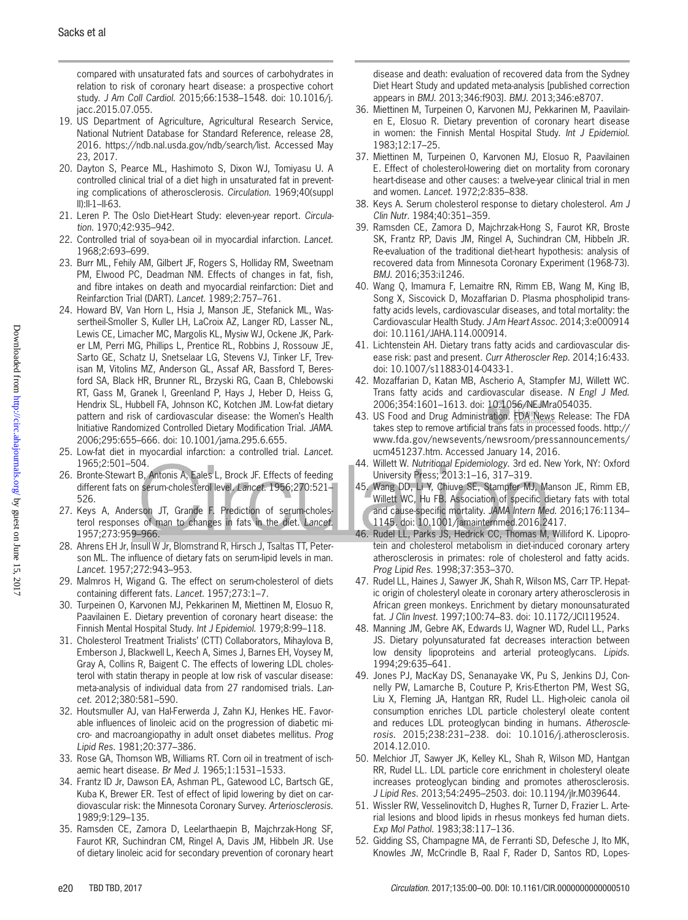compared with unsaturated fats and sources of carbohydrates in relation to risk of coronary heart disease: a prospective cohort study. *J Am Coll Cardiol*. 2015;66:1538–1548. doi: 10.1016/j. jacc.2015.07.055.

- 19. US Department of Agriculture, Agricultural Research Service, National Nutrient Database for Standard Reference, release 28, 2016. https://ndb.nal.usda.gov/ndb/search/list. Accessed May 23, 2017.
- 20. Dayton S, Pearce ML, Hashimoto S, Dixon WJ, Tomiyasu U. A controlled clinical trial of a diet high in unsaturated fat in preventing complications of atherosclerosis. *Circulation*. 1969;40(suppl II):II-1–II-63.
- 21. Leren P. The Oslo Diet-Heart Study: eleven-year report. *Circulation*. 1970;42:935–942.
- 22. Controlled trial of soya-bean oil in myocardial infarction. *Lancet*. 1968;2:693–699.
- 23. Burr ML, Fehily AM, Gilbert JF, Rogers S, Holliday RM, Sweetnam PM, Elwood PC, Deadman NM. Effects of changes in fat, fish, and fibre intakes on death and myocardial reinfarction: Diet and Reinfarction Trial (DART). *Lancet*. 1989;2:757–761.
- 24. Howard BV, Van Horn L, Hsia J, Manson JE, Stefanick ML, Wassertheil-Smoller S, Kuller LH, LaCroix AZ, Langer RD, Lasser NL, Lewis CE, Limacher MC, Margolis KL, Mysiw WJ, Ockene JK, Parker LM, Perri MG, Phillips L, Prentice RL, Robbins J, Rossouw JE, Sarto GE, Schatz IJ, Snetselaar LG, Stevens VJ, Tinker LF, Trevisan M, Vitolins MZ, Anderson GL, Assaf AR, Bassford T, Beresford SA, Black HR, Brunner RL, Brzyski RG, Caan B, Chlebowski RT, Gass M, Granek I, Greenland P, Hays J, Heber D, Heiss G, Hendrix SL, Hubbell FA, Johnson KC, Kotchen JM. Low-fat dietary pattern and risk of cardiovascular disease: the Women's Health Initiative Randomized Controlled Dietary Modification Trial. *JAMA*. 2006;295:655–666. doi: 10.1001/jama.295.6.655.
- 25. Low-fat diet in myocardial infarction: a controlled trial. *Lancet*. 1965;2:501–504.
- 26. Bronte-Stewart B, Antonis A, Eales L, Brock JF. Effects of feeding different fats on serum-cholesterol level. *Lancet*. 1956;270:521– 526.
- 27. Keys A, Anderson JT, Grande F. Prediction of serum-cholesterol responses of man to changes in fats in the diet. *Lancet*. 1957;273:959–966.
- 28. Ahrens EH Jr, Insull W Jr, Blomstrand R, Hirsch J, Tsaltas TT, Peterson ML. The influence of dietary fats on serum-lipid levels in man. *Lancet*. 1957;272:943–953.
- 29. Malmros H, Wigand G. The effect on serum-cholesterol of diets containing different fats. *Lancet*. 1957;273:1–7.
- 30. Turpeinen O, Karvonen MJ, Pekkarinen M, Miettinen M, Elosuo R, Paavilainen E. Dietary prevention of coronary heart disease: the Finnish Mental Hospital Study. *Int J Epidemiol*. 1979;8:99–118.
- 31. Cholesterol Treatment Trialists' (CTT) Collaborators, Mihaylova B, Emberson J, Blackwell L, Keech A, Simes J, Barnes EH, Voysey M, Gray A, Collins R, Baigent C. The effects of lowering LDL cholesterol with statin therapy in people at low risk of vascular disease: meta-analysis of individual data from 27 randomised trials. *Lancet*. 2012;380:581–590.
- 32. Houtsmuller AJ, van Hal-Ferwerda J, Zahn KJ, Henkes HE. Favorable influences of linoleic acid on the progression of diabetic micro- and macroangiopathy in adult onset diabetes mellitus. *Prog Lipid Res*. 1981;20:377–386.
- 33. Rose GA, Thomson WB, Williams RT. Corn oil in treatment of ischaemic heart disease. *Br Med J*. 1965;1:1531–1533.
- 34. Frantz ID Jr, Dawson EA, Ashman PL, Gatewood LC, Bartsch GE, Kuba K, Brewer ER. Test of effect of lipid lowering by diet on cardiovascular risk: the Minnesota Coronary Survey. *Arteriosclerosis*. 1989;9:129–135.
- 35. Ramsden CE, Zamora D, Leelarthaepin B, Majchrzak-Hong SF, Faurot KR, Suchindran CM, Ringel A, Davis JM, Hibbeln JR. Use of dietary linoleic acid for secondary prevention of coronary heart

disease and death: evaluation of recovered data from the Sydney Diet Heart Study and updated meta-analysis [published correction appears in *BMJ*. 2013;346:f903]. *BMJ*. 2013;346:e8707.

- 36. Miettinen M, Turpeinen O, Karvonen MJ, Pekkarinen M, Paavilainen E, Elosuo R. Dietary prevention of coronary heart disease in women: the Finnish Mental Hospital Study. *Int J Epidemiol*. 1983;12:17–25.
- 37. Miettinen M, Turpeinen O, Karvonen MJ, Elosuo R, Paavilainen E. Effect of cholesterol-lowering diet on mortality from coronary heart-disease and other causes: a twelve-year clinical trial in men and women. *Lancet*. 1972;2:835–838.
- 38. Keys A. Serum cholesterol response to dietary cholesterol. *Am J Clin Nutr*. 1984;40:351–359.
- 39. Ramsden CE, Zamora D, Majchrzak-Hong S, Faurot KR, Broste SK, Frantz RP, Davis JM, Ringel A, Suchindran CM, Hibbeln JR. Re-evaluation of the traditional diet-heart hypothesis: analysis of recovered data from Minnesota Coronary Experiment (1968-73). *BMJ*. 2016;353:i1246.
- 40. Wang Q, Imamura F, Lemaitre RN, Rimm EB, Wang M, King IB, Song X, Siscovick D, Mozaffarian D. Plasma phospholipid transfatty acids levels, cardiovascular diseases, and total mortality: the Cardiovascular Health Study. *J Am Heart Assoc*. 2014;3:e000914 doi: 10.1161/JAHA.114.000914.
- 41. Lichtenstein AH. Dietary trans fatty acids and cardiovascular disease risk: past and present. *Curr Atheroscler Rep*. 2014;16:433. doi: 10.1007/s11883-014-0433-1.
- 42. Mozaffarian D, Katan MB, Ascherio A, Stampfer MJ, Willett WC. Trans fatty acids and cardiovascular disease. *N Engl J Med*. 2006;354:1601–1613. doi: 10.1056/NEJMra054035.
- 43. US Food and Drug Administration. FDA News Release: The FDA takes step to remove artificial trans fats in processed foods. http:// www.fda.gov/newsevents/newsroom/pressannouncements/ ucm451237.htm. Accessed January 14, 2016.
- 44. Willett W. *Nutritional Epidemiology*. 3rd ed. New York, NY: Oxford University Press; 2013:1–16, 317–319.
- 45. Wang DD, Li Y, Chiuve SE, Stampfer MJ, Manson JE, Rimm EB, Willett WC, Hu FB. Association of specific dietary fats with total and cause-specific mortality. *JAMA Intern Med*. 2016;176:1134– 1145. doi: 10.1001/jamainternmed.2016.2417.
- 46. Rudel LL, Parks JS, Hedrick CC, Thomas M, Williford K. Lipoprotein and cholesterol metabolism in diet-induced coronary artery atherosclerosis in primates: role of cholesterol and fatty acids. *Prog Lipid Res*. 1998;37:353–370.
- 47. Rudel LL, Haines J, Sawyer JK, Shah R, Wilson MS, Carr TP. Hepatic origin of cholesteryl oleate in coronary artery atherosclerosis in African green monkeys. Enrichment by dietary monounsaturated fat. *J Clin Invest*. 1997;100:74–83. doi: 10.1172/JCI119524.
- 48. Manning JM, Gebre AK, Edwards IJ, Wagner WD, Rudel LL, Parks JS. Dietary polyunsaturated fat decreases interaction between low density lipoproteins and arterial proteoglycans. *Lipids*. 1994;29:635–641.
- 49. Jones PJ, MacKay DS, Senanayake VK, Pu S, Jenkins DJ, Connelly PW, Lamarche B, Couture P, Kris-Etherton PM, West SG, Liu X, Fleming JA, Hantgan RR, Rudel LL. High-oleic canola oil consumption enriches LDL particle cholesteryl oleate content and reduces LDL proteoglycan binding in humans. *Atherosclerosis*. 2015;238:231–238. doi: 10.1016/j.atherosclerosis. 2014.12.010.
- 50. Melchior JT, Sawyer JK, Kelley KL, Shah R, Wilson MD, Hantgan RR, Rudel LL. LDL particle core enrichment in cholesteryl oleate increases proteoglycan binding and promotes atherosclerosis. *J Lipid Res*. 2013;54:2495–2503. doi: 10.1194/jlr.M039644.
- 51. Wissler RW, Vesselinovitch D, Hughes R, Turner D, Frazier L. Arterial lesions and blood lipids in rhesus monkeys fed human diets. *Exp Mol Pathol*. 1983;38:117–136.
- 52. Gidding SS, Champagne MA, de Ferranti SD, Defesche J, Ito MK, Knowles JW, McCrindle B, Raal F, Rader D, Santos RD, Lopes-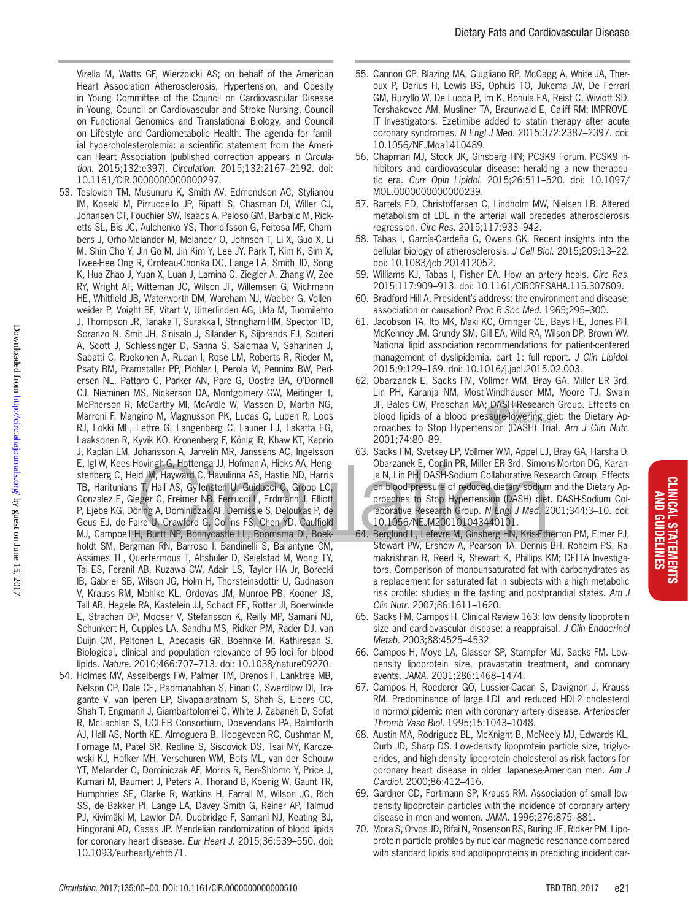Virella M, Watts GF, Wierzbicki AS; on behalf of the American Heart Association Atherosclerosis, Hypertension, and Obesity in Young Committee of the Council on Cardiovascular Disease in Young, Council on Cardiovascular and Stroke Nursing, Council on Functional Genomics and Translational Biology, and Council on Lifestyle and Cardiometabolic Health. The agenda for familial hypercholesterolemia: a scientific statement from the American Heart Association [published correction appears in *Circulation*. 2015;132:e397]. *Circulation*. 2015;132:2167–2192. doi: 10.1161/CIR.0000000000000297.

- 53. Teslovich TM, Musunuru K, Smith AV, Edmondson AC, Stylianou IM, Koseki M, Pirruccello JP, Ripatti S, Chasman DI, Willer CJ, Johansen CT, Fouchier SW, Isaacs A, Peloso GM, Barbalic M, Ricketts SL, Bis JC, Aulchenko YS, Thorleifsson G, Feitosa MF, Chambers J, Orho-Melander M, Melander O, Johnson T, Li X, Guo X, Li M, Shin Cho Y, Jin Go M, Jin Kim Y, Lee JY, Park T, Kim K, Sim X, Twee-Hee Ong R, Croteau-Chonka DC, Lange LA, Smith JD, Song K, Hua Zhao J, Yuan X, Luan J, Lamina C, Ziegler A, Zhang W, Zee RY, Wright AF, Witteman JC, Wilson JF, Willemsen G, Wichmann HE, Whitfield JB, Waterworth DM, Wareham NJ, Waeber G, Vollenweider P, Voight BF, Vitart V, Uitterlinden AG, Uda M, Tuomilehto J, Thompson JR, Tanaka T, Surakka I, Stringham HM, Spector TD, Soranzo N, Smit JH, Sinisalo J, Silander K, Sijbrands EJ, Scuteri A, Scott J, Schlessinger D, Sanna S, Salomaa V, Saharinen J, Sabatti C, Ruokonen A, Rudan I, Rose LM, Roberts R, Rieder M, Psaty BM, Pramstaller PP, Pichler I, Perola M, Penninx BW, Pedersen NL, Pattaro C, Parker AN, Pare G, Oostra BA, O'Donnell CJ, Nieminen MS, Nickerson DA, Montgomery GW, Meitinger T, McPherson R, McCarthy MI, McArdle W, Masson D, Martin NG, Marroni F, Mangino M, Magnusson PK, Lucas G, Luben R, Loos RJ, Lokki ML, Lettre G, Langenberg C, Launer LJ, Lakatta EG, Laaksonen R, Kyvik KO, Kronenberg F, König IR, Khaw KT, Kaprio J, Kaplan LM, Johansson A, Jarvelin MR, Janssens AC, Ingelsson E, Igl W, Kees Hovingh G, Hottenga JJ, Hofman A, Hicks AA, Hengstenberg C, Heid IM, Hayward C, Havulinna AS, Hastie ND, Harris TB, Haritunians T, Hall AS, Gyllensten U, Guiducci C, Groop LC, Gonzalez E, Gieger C, Freimer NB, Ferrucci L, Erdmann J, Elliott P, Ejebe KG, Döring A, Dominiczak AF, Demissie S, Deloukas P, de Geus EJ, de Faire U, Crawford G, Collins FS, Chen YD, Caulfield MJ, Campbell H, Burtt NP, Bonnycastle LL, Boomsma DI, Boekholdt SM, Bergman RN, Barroso I, Bandinelli S, Ballantyne CM, Assimes TL, Quertermous T, Altshuler D, Seielstad M, Wong TY, Tai ES, Feranil AB, Kuzawa CW, Adair LS, Taylor HA Jr, Borecki IB, Gabriel SB, Wilson JG, Holm H, Thorsteinsdottir U, Gudnason V, Krauss RM, Mohlke KL, Ordovas JM, Munroe PB, Kooner JS, Tall AR, Hegele RA, Kastelein JJ, Schadt EE, Rotter JI, Boerwinkle E, Strachan DP, Mooser V, Stefansson K, Reilly MP, Samani NJ, Schunkert H, Cupples LA, Sandhu MS, Ridker PM, Rader DJ, van Duijn CM, Peltonen L, Abecasis GR, Boehnke M, Kathiresan S. Biological, clinical and population relevance of 95 loci for blood lipids. *Nature*. 2010;466:707–713. doi: 10.1038/nature09270.
- 54. Holmes MV, Asselbergs FW, Palmer TM, Drenos F, Lanktree MB, Nelson CP, Dale CE, Padmanabhan S, Finan C, Swerdlow DI, Tragante V, van Iperen EP, Sivapalaratnam S, Shah S, Elbers CC, Shah T, Engmann J, Giambartolomei C, White J, Zabaneh D, Sofat R, McLachlan S, UCLEB Consortium, Doevendans PA, Balmforth AJ, Hall AS, North KE, Almoguera B, Hoogeveen RC, Cushman M, Fornage M, Patel SR, Redline S, Siscovick DS, Tsai MY, Karczewski KJ, Hofker MH, Verschuren WM, Bots ML, van der Schouw YT, Melander O, Dominiczak AF, Morris R, Ben-Shlomo Y, Price J, Kumari M, Baumert J, Peters A, Thorand B, Koenig W, Gaunt TR, Humphries SE, Clarke R, Watkins H, Farrall M, Wilson JG, Rich SS, de Bakker PI, Lange LA, Davey Smith G, Reiner AP, Talmud PJ, Kivimäki M, Lawlor DA, Dudbridge F, Samani NJ, Keating BJ, Hingorani AD, Casas JP. Mendelian randomization of blood lipids for coronary heart disease. *Eur Heart J*. 2015;36:539–550. doi: 10.1093/eurheartj/eht571.
- 55. Cannon CP, Blazing MA, Giugliano RP, McCagg A, White JA, Theroux P, Darius H, Lewis BS, Ophuis TO, Jukema JW, De Ferrari GM, Ruzyllo W, De Lucca P, Im K, Bohula EA, Reist C, Wiviott SD, Tershakovec AM, Musliner TA, Braunwald E, Califf RM; IMPROVE-IT Investigators. Ezetimibe added to statin therapy after acute coronary syndromes. *N Engl J Med*. 2015;372:2387–2397. doi: 10.1056/NEJMoa1410489.
- 56. Chapman MJ, Stock JK, Ginsberg HN; PCSK9 Forum. PCSK9 inhibitors and cardiovascular disease: heralding a new therapeutic era. *Curr Opin Lipidol*. 2015;26:511–520. doi: 10.1097/ MOL.0000000000000239.
- 57. Bartels ED, Christoffersen C, Lindholm MW, Nielsen LB. Altered metabolism of LDL in the arterial wall precedes atherosclerosis regression. *Circ Res*. 2015;117:933–942.
- 58. Tabas I, García-Cardeña G, Owens GK. Recent insights into the cellular biology of atherosclerosis. *J Cell Biol*. 2015;209:13–22. doi: 10.1083/jcb.201412052.
- 59. Williams KJ, Tabas I, Fisher EA. How an artery heals. *Circ Res*. 2015;117:909–913. doi: 10.1161/CIRCRESAHA.115.307609.
- 60. Bradford Hill A. President's address: the environment and disease: association or causation? *Proc R Soc Med*. 1965;295–300.
- 61. Jacobson TA, Ito MK, Maki KC, Orringer CE, Bays HE, Jones PH, McKenney JM, Grundy SM, Gill EA, Wild RA, Wilson DP, Brown WV. National lipid association recommendations for patient-centered management of dyslipidemia, part 1: full report. *J Clin Lipidol*. 2015;9:129–169. doi: 10.1016/j.jacl.2015.02.003.
- 62. Obarzanek E, Sacks FM, Vollmer WM, Bray GA, Miller ER 3rd, Lin PH, Karanja NM, Most-Windhauser MM, Moore TJ, Swain JF, Bales CW, Proschan MA; DASH Research Group. Effects on blood lipids of a blood pressure-lowering diet: the Dietary Approaches to Stop Hypertension (DASH) Trial. *Am J Clin Nutr*. 2001;74:80–89.
- 63. Sacks FM, Svetkey LP, Vollmer WM, Appel LJ, Bray GA, Harsha D, Obarzanek E, Conlin PR, Miller ER 3rd, Simons-Morton DG, Karanja N, Lin PH; DASH-Sodium Collaborative Research Group. Effects on blood pressure of reduced dietary sodium and the Dietary Approaches to Stop Hypertension (DASH) diet. DASH-Sodium Collaborative Research Group. *N Engl J Med*. 2001;344:3–10. doi: 10.1056/NEJM200101043440101.
- 64. Berglund L, Lefevre M, Ginsberg HN, Kris-Etherton PM, Elmer PJ, Stewart PW, Ershow A, Pearson TA, Dennis BH, Roheim PS, Ramakrishnan R, Reed R, Stewart K, Phillips KM; DELTA Investigators. Comparison of monounsaturated fat with carbohydrates as a replacement for saturated fat in subjects with a high metabolic risk profile: studies in the fasting and postprandial states. *Am J Clin Nutr*. 2007;86:1611–1620.
- 65. Sacks FM, Campos H. Clinical Review 163: low density lipoprotein size and cardiovascular disease: a reappraisal. *J Clin Endocrinol Metab*. 2003;88:4525–4532.
- 66. Campos H, Moye LA, Glasser SP, Stampfer MJ, Sacks FM. Lowdensity lipoprotein size, pravastatin treatment, and coronary events. *JAMA*. 2001;286:1468–1474.
- 67. Campos H, Roederer GO, Lussier-Cacan S, Davignon J, Krauss RM. Predominance of large LDL and reduced HDL2 cholesterol in normolipidemic men with coronary artery disease. *Arterioscler Thromb Vasc Biol*. 1995;15:1043–1048.
- 68. Austin MA, Rodriguez BL, McKnight B, McNeely MJ, Edwards KL, Curb JD, Sharp DS. Low-density lipoprotein particle size, triglycerides, and high-density lipoprotein cholesterol as risk factors for coronary heart disease in older Japanese-American men. *Am J Cardiol*. 2000;86:412–416.
- 69. Gardner CD, Fortmann SP, Krauss RM. Association of small lowdensity lipoprotein particles with the incidence of coronary artery disease in men and women. *JAMA*. 1996;276:875–881.
- 70. Mora S, Otvos JD, Rifai N, Rosenson RS, Buring JE, Ridker PM. Lipoprotein particle profiles by nuclear magnetic resonance compared with standard lipids and apolipoproteins in predicting incident car-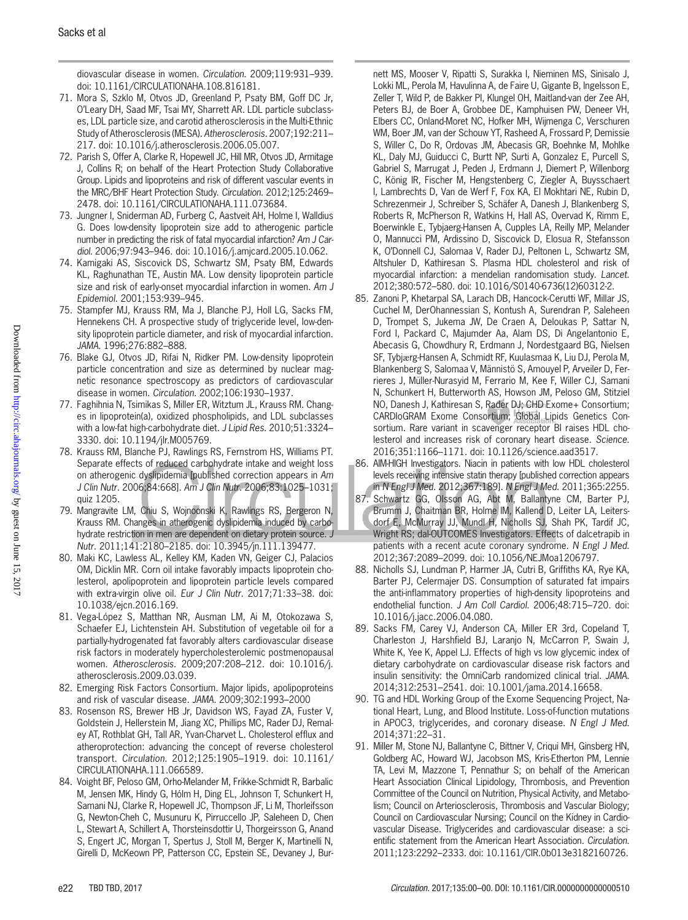diovascular disease in women. *Circulation*. 2009;119:931–939. doi: 10.1161/CIRCULATIONAHA.108.816181.

- 71. Mora S, Szklo M, Otvos JD, Greenland P, Psaty BM, Goff DC Jr, O'Leary DH, Saad MF, Tsai MY, Sharrett AR. LDL particle subclasses, LDL particle size, and carotid atherosclerosis in the Multi-Ethnic Study of Atherosclerosis (MESA). *Atherosclerosis*. 2007;192:211– 217. doi: 10.1016/j.atherosclerosis.2006.05.007.
- 72. Parish S, Offer A, Clarke R, Hopewell JC, Hill MR, Otvos JD, Armitage J, Collins R; on behalf of the Heart Protection Study Collaborative Group. Lipids and lipoproteins and risk of different vascular events in the MRC/BHF Heart Protection Study. *Circulation*. 2012;125:2469– 2478. doi: 10.1161/CIRCULATIONAHA.111.073684.
- 73. Jungner I, Sniderman AD, Furberg C, Aastveit AH, Holme I, Walldius G. Does low-density lipoprotein size add to atherogenic particle number in predicting the risk of fatal myocardial infarction? *Am J Cardiol*. 2006;97:943–946. doi: 10.1016/j.amjcard.2005.10.062.
- 74. Kamigaki AS, Siscovick DS, Schwartz SM, Psaty BM, Edwards KL, Raghunathan TE, Austin MA. Low density lipoprotein particle size and risk of early-onset myocardial infarction in women. *Am J Epidemiol*. 2001;153:939–945.
- 75. Stampfer MJ, Krauss RM, Ma J, Blanche PJ, Holl LG, Sacks FM, Hennekens CH. A prospective study of triglyceride level, low-density lipoprotein particle diameter, and risk of myocardial infarction. *JAMA*. 1996;276:882–888.
- 76. Blake GJ, Otvos JD, Rifai N, Ridker PM. Low-density lipoprotein particle concentration and size as determined by nuclear magnetic resonance spectroscopy as predictors of cardiovascular disease in women. *Circulation*. 2002;106:1930–1937.
- 77. Faghihnia N, Tsimikas S, Miller ER, Witztum JL, Krauss RM. Changes in lipoprotein(a), oxidized phospholipids, and LDL subclasses with a low-fat high-carbohydrate diet. *J Lipid Res*. 2010;51:3324– 3330. doi: 10.1194/jlr.M005769.
- 78. Krauss RM, Blanche PJ, Rawlings RS, Fernstrom HS, Williams PT. Separate effects of reduced carbohydrate intake and weight loss on atherogenic dyslipidemia [published correction appears in *Am J Clin Nutr*. 2006;84:668]. *Am J Clin Nutr*. 2006;83:1025–1031; quiz 1205.
- 79. Mangravite LM, Chiu S, Wojnoonski K, Rawlings RS, Bergeron N, Krauss RM. Changes in atherogenic dyslipidemia induced by carbohydrate restriction in men are dependent on dietary protein source. *J Nutr*. 2011;141:2180–2185. doi: 10.3945/jn.111.139477.
- 80. Maki KC, Lawless AL, Kelley KM, Kaden VN, Geiger CJ, Palacios OM, Dicklin MR. Corn oil intake favorably impacts lipoprotein cholesterol, apolipoprotein and lipoprotein particle levels compared with extra-virgin olive oil. *Eur J Clin Nutr*. 2017;71:33–38. doi: 10.1038/ejcn.2016.169.
- 81. Vega-López S, Matthan NR, Ausman LM, Ai M, Otokozawa S, Schaefer EJ, Lichtenstein AH. Substitution of vegetable oil for a partially-hydrogenated fat favorably alters cardiovascular disease risk factors in moderately hypercholesterolemic postmenopausal women. *Atherosclerosis*. 2009;207:208–212. doi: 10.1016/j. atherosclerosis.2009.03.039.
- 82. Emerging Risk Factors Consortium. Major lipids, apolipoproteins and risk of vascular disease. *JAMA*. 2009;302:1993–2000
- 83. Rosenson RS, Brewer HB Jr, Davidson WS, Fayad ZA, Fuster V, Goldstein J, Hellerstein M, Jiang XC, Phillips MC, Rader DJ, Remaley AT, Rothblat GH, Tall AR, Yvan-Charvet L. Cholesterol efflux and atheroprotection: advancing the concept of reverse cholesterol transport. *Circulation*. 2012;125:1905–1919. doi: 10.1161/ CIRCULATIONAHA.111.066589.
- 84. Voight BF, Peloso GM, Orho-Melander M, Frikke-Schmidt R, Barbalic M, Jensen MK, Hindy G, Hólm H, Ding EL, Johnson T, Schunkert H, Samani NJ, Clarke R, Hopewell JC, Thompson JF, Li M, Thorleifsson G, Newton-Cheh C, Musunuru K, Pirruccello JP, Saleheen D, Chen L, Stewart A, Schillert A, Thorsteinsdottir U, Thorgeirsson G, Anand S, Engert JC, Morgan T, Spertus J, Stoll M, Berger K, Martinelli N, Girelli D, McKeown PP, Patterson CC, Epstein SE, Devaney J, Bur-

nett MS, Mooser V, Ripatti S, Surakka I, Nieminen MS, Sinisalo J, Lokki ML, Perola M, Havulinna A, de Faire U, Gigante B, Ingelsson E, Zeller T, Wild P, de Bakker PI, Klungel OH, Maitland-van der Zee AH, Peters BJ, de Boer A, Grobbee DE, Kamphuisen PW, Deneer VH, Elbers CC, Onland-Moret NC, Hofker MH, Wijmenga C, Verschuren WM, Boer JM, van der Schouw YT, Rasheed A, Frossard P, Demissie S, Willer C, Do R, Ordovas JM, Abecasis GR, Boehnke M, Mohlke KL, Daly MJ, Guiducci C, Burtt NP, Surti A, Gonzalez E, Purcell S, Gabriel S, Marrugat J, Peden J, Erdmann J, Diemert P, Willenborg C, König IR, Fischer M, Hengstenberg C, Ziegler A, Buysschaert I, Lambrechts D, Van de Werf F, Fox KA, El Mokhtari NE, Rubin D, Schrezenmeir J, Schreiber S, Schäfer A, Danesh J, Blankenberg S, Roberts R, McPherson R, Watkins H, Hall AS, Overvad K, Rimm E, Boerwinkle E, Tybjaerg-Hansen A, Cupples LA, Reilly MP, Melander O, Mannucci PM, Ardissino D, Siscovick D, Elosua R, Stefansson K, O'Donnell CJ, Salomaa V, Rader DJ, Peltonen L, Schwartz SM, Altshuler D, Kathiresan S. Plasma HDL cholesterol and risk of myocardial infarction: a mendelian randomisation study. *Lancet*. 2012;380:572–580. doi: 10.1016/S0140-6736(12)60312-2.

- 85. Zanoni P, Khetarpal SA, Larach DB, Hancock-Cerutti WF, Millar JS, Cuchel M, DerOhannessian S, Kontush A, Surendran P, Saleheen D, Trompet S, Jukema JW, De Craen A, Deloukas P, Sattar N, Ford I, Packard C, Majumder Aa, Alam DS, Di Angelantonio E, Abecasis G, Chowdhury R, Erdmann J, Nordestgaard BG, Nielsen SF, Tybjærg-Hansen A, Schmidt RF, Kuulasmaa K, Liu DJ, Perola M, Blankenberg S, Salomaa V, Männistö S, Amouyel P, Arveiler D, Ferrieres J, Müller-Nurasyid M, Ferrario M, Kee F, Willer CJ, Samani N, Schunkert H, Butterworth AS, Howson JM, Peloso GM, Stitziel NO, Danesh J, Kathiresan S, Rader DJ; CHD Exome+ Consortium; CARDIoGRAM Exome Consortium; Global Lipids Genetics Consortium. Rare variant in scavenger receptor BI raises HDL cholesterol and increases risk of coronary heart disease. *Science*. 2016;351:1166–1171. doi: 10.1126/science.aad3517.
- 86. AIM-HIGH Investigators. Niacin in patients with low HDL cholesterol levels receiving intensive statin therapy [published correction appears in *N Engl J Med*. 2012;367:189]. *N Engl J Med*. 2011;365:2255.
- 87. Schwartz GG, Olsson AG, Abt M, Ballantyne CM, Barter PJ, Brumm J, Chaitman BR, Holme IM, Kallend D, Leiter LA, Leitersdorf E, McMurray JJ, Mundl H, Nicholls SJ, Shah PK, Tardif JC, Wright RS; dal-OUTCOMES Investigators. Effects of dalcetrapib in patients with a recent acute coronary syndrome. *N Engl J Med*. 2012;367:2089–2099. doi: 10.1056/NEJMoa1206797.
- 88. Nicholls SJ, Lundman P, Harmer JA, Cutri B, Griffiths KA, Rye KA, Barter PJ, Celermajer DS. Consumption of saturated fat impairs the anti-inflammatory properties of high-density lipoproteins and endothelial function. *J Am Coll Cardiol*. 2006;48:715–720. doi: 10.1016/j.jacc.2006.04.080.
- 89. Sacks FM, Carey VJ, Anderson CA, Miller ER 3rd, Copeland T, Charleston J, Harshfield BJ, Laranjo N, McCarron P, Swain J, White K, Yee K, Appel LJ. Effects of high vs low glycemic index of dietary carbohydrate on cardiovascular disease risk factors and insulin sensitivity: the OmniCarb randomized clinical trial. *JAMA*. 2014;312:2531–2541. doi: 10.1001/jama.2014.16658.
- 90. TG and HDL Working Group of the Exome Sequencing Project, National Heart, Lung, and Blood Institute. Loss-of-function mutations in APOC3, triglycerides, and coronary disease. *N Engl J Med*. 2014;371:22–31.
- 91. Miller M, Stone NJ, Ballantyne C, Bittner V, Criqui MH, Ginsberg HN, Goldberg AC, Howard WJ, Jacobson MS, Kris-Etherton PM, Lennie TA, Levi M, Mazzone T, Pennathur S; on behalf of the American Heart Association Clinical Lipidology, Thrombosis, and Prevention Committee of the Council on Nutrition, Physical Activity, and Metabolism; Council on Arteriosclerosis, Thrombosis and Vascular Biology; Council on Cardiovascular Nursing; Council on the Kidney in Cardiovascular Disease. Triglycerides and cardiovascular disease: a scientific statement from the American Heart Association. *Circulation*. 2011;123:2292–2333. doi: 10.1161/CIR.0b013e3182160726.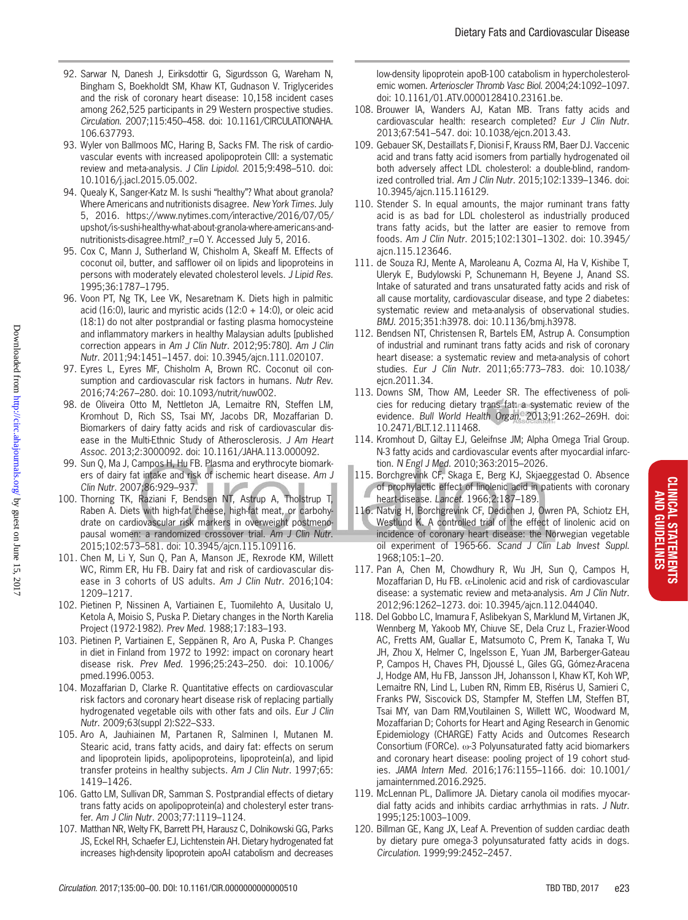- 92. Sarwar N, Danesh J, Eiriksdottir G, Sigurdsson G, Wareham N, Bingham S, Boekholdt SM, Khaw KT, Gudnason V. Triglycerides and the risk of coronary heart disease: 10,158 incident cases among 262,525 participants in 29 Western prospective studies. *Circulation*. 2007;115:450–458. doi: 10.1161/CIRCULATIONAHA. 106.637793.
- 93. Wyler von Ballmoos MC, Haring B, Sacks FM. The risk of cardiovascular events with increased apolipoprotein CIII: a systematic review and meta-analysis. *J Clin Lipidol*. 2015;9:498–510. doi: 10.1016/j.jacl.2015.05.002.
- 94. Quealy K, Sanger-Katz M. Is sushi "healthy"? What about granola? Where Americans and nutritionists disagree. *New York Times*. July 5, 2016. https://www.nytimes.com/interactive/2016/07/05/ upshot/is-sushi-healthy-what-about-granola-where-americans-andnutritionists-disagree.html?\_r=0 Y. Accessed July 5, 2016.
- 95. Cox C, Mann J, Sutherland W, Chisholm A, Skeaff M. Effects of coconut oil, butter, and safflower oil on lipids and lipoproteins in persons with moderately elevated cholesterol levels. *J Lipid Res*. 1995;36:1787–1795.
- 96. Voon PT, Ng TK, Lee VK, Nesaretnam K. Diets high in palmitic acid (16:0), lauric and myristic acids (12:0  $+$  14:0), or oleic acid (18:1) do not alter postprandial or fasting plasma homocysteine and inflammatory markers in healthy Malaysian adults [published correction appears in *Am J Clin Nutr*. 2012;95:780]. *Am J Clin Nutr*. 2011;94:1451–1457. doi: 10.3945/ajcn.111.020107.
- 97. Eyres L, Eyres MF, Chisholm A, Brown RC. Coconut oil consumption and cardiovascular risk factors in humans. *Nutr Rev*. 2016;74:267–280. doi: 10.1093/nutrit/nuw002.
- 98. de Oliveira Otto M, Nettleton JA, Lemaitre RN, Steffen LM, Kromhout D, Rich SS, Tsai MY, Jacobs DR, Mozaffarian D. Biomarkers of dairy fatty acids and risk of cardiovascular disease in the Multi-Ethnic Study of Atherosclerosis. *J Am Heart Assoc*. 2013;2:3000092. doi: 10.1161/JAHA.113.000092.
- 99. Sun Q, Ma J, Campos H, Hu FB. Plasma and erythrocyte biomarkers of dairy fat intake and risk of ischemic heart disease. *Am J Clin Nutr*. 2007;86:929–937.

Downloaded from http://circ.ahajournals.org/ by guest on June 15, 2017 Downloaded from <http://circ.ahajournals.org/> by guest on June 15, 2017

- 100. Thorning TK, Raziani F, Bendsen NT, Astrup A, Tholstrup T, Raben A. Diets with high-fat cheese, high-fat meat, or carbohydrate on cardiovascular risk markers in overweight postmenopausal women: a randomized crossover trial. *Am J Clin Nutr*. 2015;102:573–581. doi: 10.3945/ajcn.115.109116.
- 101. Chen M, Li Y, Sun Q, Pan A, Manson JE, Rexrode KM, Willett WC, Rimm ER, Hu FB. Dairy fat and risk of cardiovascular disease in 3 cohorts of US adults. *Am J Clin Nutr*. 2016;104: 1209–1217.
- 102. Pietinen P, Nissinen A, Vartiainen E, Tuomilehto A, Uusitalo U, Ketola A, Moisio S, Puska P. Dietary changes in the North Karelia Project (1972-1982). *Prev Med*. 1988;17:183–193.
- 103. Pietinen P, Vartiainen E, Seppänen R, Aro A, Puska P. Changes in diet in Finland from 1972 to 1992: impact on coronary heart disease risk. *Prev Med*. 1996;25:243–250. doi: 10.1006/ pmed.1996.0053.
- 104. Mozaffarian D, Clarke R. Quantitative effects on cardiovascular risk factors and coronary heart disease risk of replacing partially hydrogenated vegetable oils with other fats and oils. *Eur J Clin Nutr*. 2009;63(suppl 2):S22–S33.
- 105. Aro A, Jauhiainen M, Partanen R, Salminen I, Mutanen M. Stearic acid, trans fatty acids, and dairy fat: effects on serum and lipoprotein lipids, apolipoproteins, lipoprotein(a), and lipid transfer proteins in healthy subjects. *Am J Clin Nutr*. 1997;65: 1419–1426.
- 106. Gatto LM, Sullivan DR, Samman S. Postprandial effects of dietary trans fatty acids on apolipoprotein(a) and cholesteryl ester transfer. *Am J Clin Nutr*. 2003;77:1119–1124.
- 107. Matthan NR, Welty FK, Barrett PH, Harausz C, Dolnikowski GG, Parks JS, Eckel RH, Schaefer EJ, Lichtenstein AH. Dietary hydrogenated fat increases high-density lipoprotein apoA-I catabolism and decreases

low-density lipoprotein apoB-100 catabolism in hypercholesterolemic women. *Arterioscler Thromb Vasc Biol*. 2004;24:1092–1097. doi: 10.1161/01.ATV.0000128410.23161.be.

- 108. Brouwer IA, Wanders AJ, Katan MB. Trans fatty acids and cardiovascular health: research completed? *Eur J Clin Nutr*. 2013;67:541–547. doi: 10.1038/ejcn.2013.43.
- 109. Gebauer SK, Destaillats F, Dionisi F, Krauss RM, Baer DJ. Vaccenic acid and trans fatty acid isomers from partially hydrogenated oil both adversely affect LDL cholesterol: a double-blind, randomized controlled trial. *Am J Clin Nutr*. 2015;102:1339–1346. doi: 10.3945/ajcn.115.116129.
- 110. Stender S. In equal amounts, the major ruminant trans fatty acid is as bad for LDL cholesterol as industrially produced trans fatty acids, but the latter are easier to remove from foods. *Am J Clin Nutr*. 2015;102:1301–1302. doi: 10.3945/ ajcn.115.123646.
- 111. de Souza RJ, Mente A, Maroleanu A, Cozma AI, Ha V, Kishibe T, Uleryk E, Budylowski P, Schunemann H, Beyene J, Anand SS. Intake of saturated and trans unsaturated fatty acids and risk of all cause mortality, cardiovascular disease, and type 2 diabetes: systematic review and meta-analysis of observational studies. *BMJ*. 2015;351:h3978. doi: 10.1136/bmj.h3978.
- 112. Bendsen NT, Christensen R, Bartels EM, Astrup A. Consumption of industrial and ruminant trans fatty acids and risk of coronary heart disease: a systematic review and meta-analysis of cohort studies. *Eur J Clin Nutr*. 2011;65:773–783. doi: 10.1038/ ejcn.2011.34.
- 113. Downs SM, Thow AM, Leeder SR. The effectiveness of policies for reducing dietary trans fat: a systematic review of the evidence. *Bull World Health Organ*. 2013;91:262–269H. doi: 10.2471/BLT.12.111468.
- 114. Kromhout D, Giltay EJ, Geleifnse JM; Alpha Omega Trial Group. N-3 fatty acids and cardiovascular events after myocardial infarction. *N Engl J Med*. 2010;363:2015–2026.
- 115. Borchgrevink CF, Skaga E, Berg KJ, Skjaeggestad O. Absence of prophylactic effect of linolenic acid in patients with coronary heart-disease. *Lancet*. 1966;2:187–189.
- 116. Natvig H, Borchgrevink CF, Dedichen J, Owren PA, Schiotz EH, Westlund K. A controlled trial of the effect of linolenic acid on incidence of coronary heart disease: the Norwegian vegetable oil experiment of 1965-66. *Scand J Clin Lab Invest Suppl*. 1968;105:1–20.
- 117. Pan A, Chen M, Chowdhury R, Wu JH, Sun Q, Campos H, Mozaffarian D, Hu FB.  $\alpha$ -Linolenic acid and risk of cardiovascular disease: a systematic review and meta-analysis. *Am J Clin Nutr*. 2012;96:1262–1273. doi: 10.3945/ajcn.112.044040.
- 118. Del Gobbo LC, Imamura F, Aslibekyan S, Marklund M, Virtanen JK, Wennberg M, Yakoob MY, Chiuve SE, Dela Cruz L, Frazier-Wood AC, Fretts AM, Guallar E, Matsumoto C, Prem K, Tanaka T, Wu JH, Zhou X, Helmer C, Ingelsson E, Yuan JM, Barberger-Gateau P, Campos H, Chaves PH, Djoussé L, Giles GG, Gómez-Aracena J, Hodge AM, Hu FB, Jansson JH, Johansson I, Khaw KT, Koh WP, Lemaitre RN, Lind L, Luben RN, Rimm EB, Risérus U, Samieri C, Franks PW, Siscovick DS, Stampfer M, Steffen LM, Steffen BT, Tsai MY, van Dam RM,Voutilainen S, Willett WC, Woodward M, Mozaffarian D; Cohorts for Heart and Aging Research in Genomic Epidemiology (CHARGE) Fatty Acids and Outcomes Research Consortium (FORCe). ω-3 Polyunsaturated fatty acid biomarkers and coronary heart disease: pooling project of 19 cohort studies. *JAMA Intern Med*. 2016;176:1155–1166. doi: 10.1001/ jamainternmed.2016.2925.
- 119. McLennan PL, Dallimore JA. Dietary canola oil modifies myocardial fatty acids and inhibits cardiac arrhythmias in rats. *J Nutr*. 1995;125:1003–1009.
- 120. Billman GE, Kang JX, Leaf A. Prevention of sudden cardiac death by dietary pure omega-3 polyunsaturated fatty acids in dogs. *Circulation*. 1999;99:2452–2457.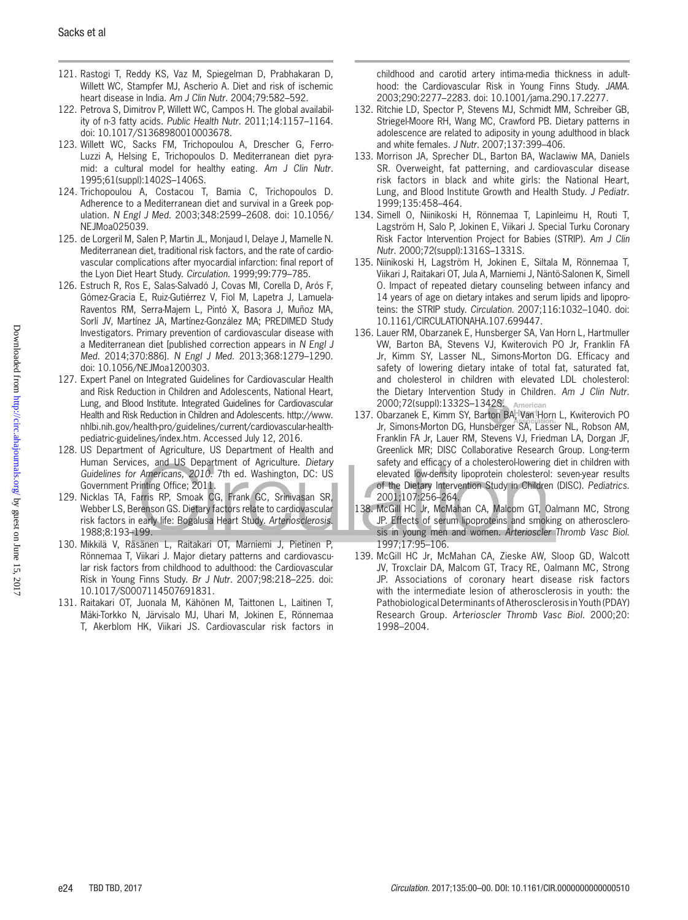- 121. Rastogi T, Reddy KS, Vaz M, Spiegelman D, Prabhakaran D, Willett WC, Stampfer MJ, Ascherio A. Diet and risk of ischemic heart disease in India. *Am J Clin Nutr*. 2004;79:582–592.
- 122. Petrova S, Dimitrov P, Willett WC, Campos H. The global availability of n-3 fatty acids. *Public Health Nutr*. 2011;14:1157–1164. doi: 10.1017/S1368980010003678.
- 123. Willett WC, Sacks FM, Trichopoulou A, Drescher G, Ferro-Luzzi A, Helsing E, Trichopoulos D. Mediterranean diet pyramid: a cultural model for healthy eating. *Am J Clin Nutr*. 1995;61(suppl):1402S–1406S.
- 124. Trichopoulou A, Costacou T, Bamia C, Trichopoulos D. Adherence to a Mediterranean diet and survival in a Greek population. *N Engl J Med*. 2003;348:2599–2608. doi: 10.1056/ NEJMoa025039.
- 125. de Lorgeril M, Salen P, Martin JL, Monjaud I, Delaye J, Mamelle N. Mediterranean diet, traditional risk factors, and the rate of cardiovascular complications after myocardial infarction: final report of the Lyon Diet Heart Study. *Circulation*. 1999;99:779–785.
- 126. Estruch R, Ros E, Salas-Salvadó J, Covas MI, Corella D, Arós F, Gómez-Gracia E, Ruiz-Gutiérrez V, Fiol M, Lapetra J, Lamuela-Raventos RM, Serra-Majem L, Pintó X, Basora J, Muñoz MA, Sorlí JV, Martínez JA, Martínez-González MA; PREDIMED Study Investigators. Primary prevention of cardiovascular disease with a Mediterranean diet [published correction appears in *N Engl J Med*. 2014;370:886]. *N Engl J Med*. 2013;368:1279–1290. doi: 10.1056/NEJMoa1200303.
- 127. Expert Panel on Integrated Guidelines for Cardiovascular Health and Risk Reduction in Children and Adolescents, National Heart, Lung, and Blood Institute. Integrated Guidelines for Cardiovascular Health and Risk Reduction in Children and Adolescents. http://www. nhlbi.nih.gov/health-pro/guidelines/current/cardiovascular-healthpediatric-guidelines/index.htm. Accessed July 12, 2016.
- 128. US Department of Agriculture, US Department of Health and Human Services, and US Department of Agriculture. *Dietary Guidelines for Americans, 2010*. 7th ed. Washington, DC: US Government Printing Office; 2011.
- 129. Nicklas TA, Farris RP, Smoak CG, Frank GC, Srinivasan SR, Webber LS, Berenson GS. Dietary factors relate to cardiovascular risk factors in early life: Bogalusa Heart Study. *Arteriosclerosis*. 1988;8:193–199.
- 130. Mikkilä V, Räsänen L, Raitakari OT, Marniemi J, Pietinen P, Rönnemaa T, Viikari J. Major dietary patterns and cardiovascular risk factors from childhood to adulthood: the Cardiovascular Risk in Young Finns Study. *Br J Nutr*. 2007;98:218–225. doi: 10.1017/S0007114507691831.
- 131. Raitakari OT, Juonala M, Kähönen M, Taittonen L, Laitinen T, Mäki-Torkko N, Järvisalo MJ, Uhari M, Jokinen E, Rönnemaa T, Akerblom HK, Viikari JS. Cardiovascular risk factors in

childhood and carotid artery intima-media thickness in adulthood: the Cardiovascular Risk in Young Finns Study. *JAMA*. 2003;290:2277–2283. doi: 10.1001/jama.290.17.2277.

- 132. Ritchie LD, Spector P, Stevens MJ, Schmidt MM, Schreiber GB, Striegel-Moore RH, Wang MC, Crawford PB. Dietary patterns in adolescence are related to adiposity in young adulthood in black and white females. *J Nutr*. 2007;137:399–406.
- 133. Morrison JA, Sprecher DL, Barton BA, Waclawiw MA, Daniels SR. Overweight, fat patterning, and cardiovascular disease risk factors in black and white girls: the National Heart, Lung, and Blood Institute Growth and Health Study. *J Pediatr*. 1999;135:458–464.
- 134. Simell O, Niinikoski H, Rönnemaa T, Lapinleimu H, Routi T, Lagström H, Salo P, Jokinen E, Viikari J. Special Turku Coronary Risk Factor Intervention Project for Babies (STRIP). *Am J Clin Nutr*. 2000;72(suppl):1316S–1331S.
- 135. Niinikoski H, Lagström H, Jokinen E, Siltala M, Rönnemaa T, Viikari J, Raitakari OT, Jula A, Marniemi J, Näntö-Salonen K, Simell O. Impact of repeated dietary counseling between infancy and 14 years of age on dietary intakes and serum lipids and lipoproteins: the STRIP study. *Circulation*. 2007;116:1032–1040. doi: 10.1161/CIRCULATIONAHA.107.699447.
- 136. Lauer RM, Obarzanek E, Hunsberger SA, Van Horn L, Hartmuller VW, Barton BA, Stevens VJ, Kwiterovich PO Jr, Franklin FA Jr, Kimm SY, Lasser NL, Simons-Morton DG. Efficacy and safety of lowering dietary intake of total fat, saturated fat, and cholesterol in children with elevated LDL cholesterol: the Dietary Intervention Study in Children. *Am J Clin Nutr*. 2000;72(suppl):1332S–1342S.
- 137. Obarzanek E, Kimm SY, Barton BA, Van Horn L, Kwiterovich PO Jr, Simons-Morton DG, Hunsberger SA, Lasser NL, Robson AM, Franklin FA Jr, Lauer RM, Stevens VJ, Friedman LA, Dorgan JF, Greenlick MR; DISC Collaborative Research Group. Long-term safety and efficacy of a cholesterol-lowering diet in children with elevated low-density lipoprotein cholesterol: seven-year results of the Dietary Intervention Study in Children (DISC). *Pediatrics*. 2001;107:256–264.
- 138. McGill HC Jr, McMahan CA, Malcom GT, Oalmann MC, Strong JP. Effects of serum lipoproteins and smoking on atherosclerosis in young men and women. *Arterioscler Thromb Vasc Biol*. 1997;17:95–106.
- 139. McGill HC Jr, McMahan CA, Zieske AW, Sloop GD, Walcott JV, Troxclair DA, Malcom GT, Tracy RE, Oalmann MC, Strong JP. Associations of coronary heart disease risk factors with the intermediate lesion of atherosclerosis in youth: the Pathobiological Determinants of Atherosclerosis in Youth (PDAY) Research Group. *Arterioscler Thromb Vasc Biol*. 2000;20: 1998–2004.